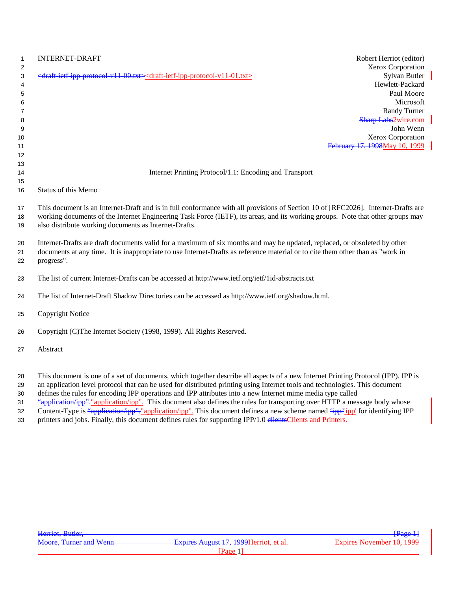| $\mathbf{1}$<br>2<br>3<br>4<br>5<br>6<br>7<br>8<br>9<br>10<br>11<br>12 | <b>INTERNET-DRAFT</b><br>Robert Herriot (editor)<br>Xerox Corporation<br><draft-ietf-ipp-protocol-v11-00.txt><draft-ietf-ipp-protocol-v11-01.txt><br/>Sylvan Butler<br/>Hewlett-Packard<br/>Paul Moore<br/>Microsoft<br/>Randy Turner<br/><b>Sharp Labs2wire.com</b><br/>John Wenn<br/>Xerox Corporation<br/>February 17, 1998May 10, 1999</draft-ietf-ipp-protocol-v11-01.txt></draft-ietf-ipp-protocol-v11-00.txt> |
|------------------------------------------------------------------------|----------------------------------------------------------------------------------------------------------------------------------------------------------------------------------------------------------------------------------------------------------------------------------------------------------------------------------------------------------------------------------------------------------------------|
| 13                                                                     |                                                                                                                                                                                                                                                                                                                                                                                                                      |
| 14                                                                     | Internet Printing Protocol/1.1: Encoding and Transport                                                                                                                                                                                                                                                                                                                                                               |
| 15<br>16                                                               | Status of this Memo                                                                                                                                                                                                                                                                                                                                                                                                  |
|                                                                        |                                                                                                                                                                                                                                                                                                                                                                                                                      |
| 17<br>18<br>19                                                         | This document is an Internet-Draft and is in full conformance with all provisions of Section 10 of [RFC2026]. Internet-Drafts are<br>working documents of the Internet Engineering Task Force (IETF), its areas, and its working groups. Note that other groups may<br>also distribute working documents as Internet-Drafts.                                                                                         |
| 20<br>21<br>22                                                         | Internet-Drafts are draft documents valid for a maximum of six months and may be updated, replaced, or obsoleted by other<br>documents at any time. It is inappropriate to use Internet-Drafts as reference material or to cite them other than as "work in<br>progress".                                                                                                                                            |
| 23                                                                     | The list of current Internet-Drafts can be accessed at http://www.ietf.org/ietf/1id-abstracts.txt                                                                                                                                                                                                                                                                                                                    |
| 24                                                                     | The list of Internet-Draft Shadow Directories can be accessed as http://www.ietf.org/shadow.html.                                                                                                                                                                                                                                                                                                                    |
| 25                                                                     | Copyright Notice                                                                                                                                                                                                                                                                                                                                                                                                     |
| 26                                                                     | Copyright (C)The Internet Society (1998, 1999). All Rights Reserved.                                                                                                                                                                                                                                                                                                                                                 |
| 27                                                                     | Abstract                                                                                                                                                                                                                                                                                                                                                                                                             |
| 28<br>29                                                               | This document is one of a set of documents, which together describe all aspects of a new Internet Printing Protocol (IPP). IPP is<br>an application level protocol that can be used for distributed printing using Internet tools and technologies. This document                                                                                                                                                    |

- defines the rules for encoding IPP operations and IPP attributes into a new Internet mime media type called
- 31 "application/ipp". "application/ipp". This document also defines the rules for transporting over HTTP a message body whose
- 32 Content-Type is "application/ipp": "application/ipp". This document defines a new scheme named "ipp" ipp' for identifying IPP
- 33 printers and jobs. Finally, this document defines rules for supporting IPP/1.0 elientsClients and Printers.

| Herriot, Butler,              |                                         | <del>[Page 1]</del>       |
|-------------------------------|-----------------------------------------|---------------------------|
| <b>Moore, Turner and Wenn</b> | Expires August 17, 1999 Herriot, et al. | Expires November 10, 1999 |
|                               | Page                                    |                           |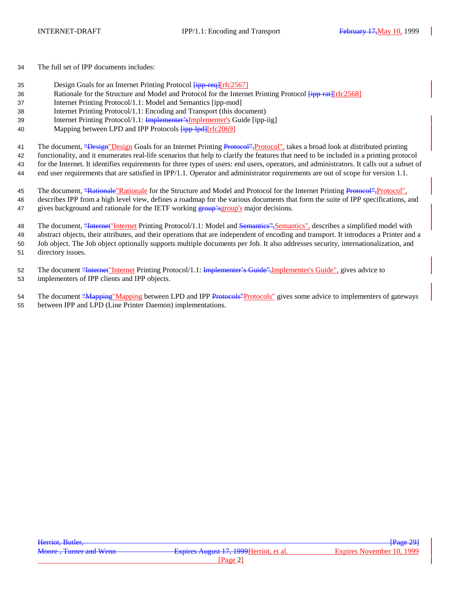34 The full set of IPP documents includes:

- 35 Design Goals for an Internet Printing Protocol  $\frac{[ipp+req][rfc2567]}{[ipp+req][rfc2567]}$
- 36 Rationale for the Structure and Model and Protocol for the Internet Printing Protocol  $\frac{1}{1}$ [Ffc2568]
- 37 Internet Printing Protocol/1.1: Model and Semantics [ipp-mod]
- 38 Internet Printing Protocol/1.1: Encoding and Transport (this document)
- 39 Internet Printing Protocol/1.1: Implementer'sImplementer's Guide [ipp-iig]
- 40 Mapping between LPD and IPP Protocols  $\frac{1}{1}$ pp-lpd][rfc2069]
- 41 The document, "Design" Design Goals for an Internet Printing Protocol", protocol", takes a broad look at distributed printing

42 functionality, and it enumerates real-life scenarios that help to clarify the features that need to be included in a printing protocol

43 for the Internet. It identifies requirements for three types of users: end users, operators, and administrators. It calls out a subset of

44 end user requirements that are satisfied in IPP/1.1. Operator and administrator requirements are out of scope for version 1.1.

45 The document, "Rationale"Rationale for the Structure and Model and Protocol for the Internet Printing Protocol", Protocol", 46 describes IPP from a high level view, defines a roadmap for the various documents that form the suite of IPP specifications, and 47 gives background and rationale for the IETF working group's group's major decisions.

48 The document, "Internet" Internet Printing Protocol/1.1: Model and Semanties", Semantics", describes a simplified model with abstract objects, their attributes, and their operations that are independent of encoding and transport. It introduces a Printer and a Job object. The Job object optionally supports multiple documents per Job. It also addresses security, internationalization, and directory issues.

52 The document "Internet" Internet Printing Protocol/1.1: Implementer's Guide", Implementer's Guide", gives advice to 53 implementers of IPP clients and IPP objects.

54 The document "Mapping" Mapping between LPD and IPP Protocols" protocols" gives some advice to implementers of gateways

55 between IPP and LPD (Line Printer Daemon) implementations.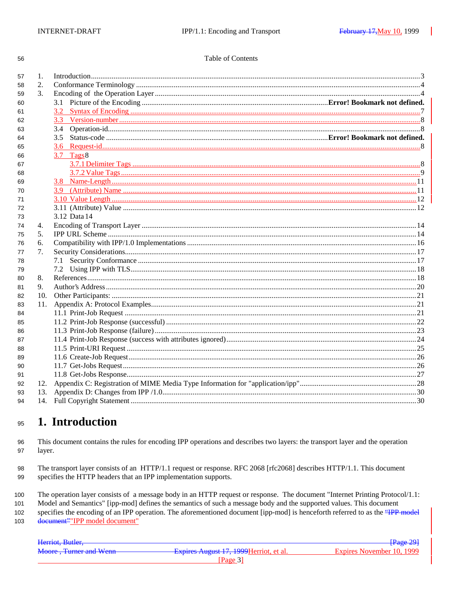56

#### Table of Contents

| 57 | $\mathbf{1}$ . |                |  |
|----|----------------|----------------|--|
| 58 | 2.             |                |  |
| 59 | $\mathcal{F}$  |                |  |
| 60 |                |                |  |
| 61 |                |                |  |
| 62 |                |                |  |
| 63 |                | 3.4            |  |
| 64 |                |                |  |
| 65 |                |                |  |
| 66 |                | $3.7$ Tags $8$ |  |
| 67 |                |                |  |
| 68 |                |                |  |
| 69 |                |                |  |
| 70 |                |                |  |
| 71 |                |                |  |
| 72 |                |                |  |
| 73 |                | 3.12 Data 14   |  |
| 74 | 4.             |                |  |
| 75 | 5.             |                |  |
| 76 | 6.             |                |  |
| 77 | 7.             |                |  |
| 78 |                |                |  |
| 79 |                |                |  |
| 80 | 8.             |                |  |
| 81 | 9.             |                |  |
| 82 | 10.            |                |  |
| 83 | 11.            |                |  |
| 84 |                |                |  |
| 85 |                |                |  |
| 86 |                |                |  |
| 87 |                |                |  |
| 88 |                |                |  |
| 89 |                |                |  |
| 90 |                |                |  |
| 91 |                |                |  |
| 92 | 12.            |                |  |
| 93 | 13.            |                |  |
| 94 |                |                |  |
|    |                |                |  |

#### 1. Introduction 95

This document contains the rules for encoding IPP operations and describes two layers: the transport layer and the operation 96 layer. 97

The transport layer consists of an HTTP/1.1 request or response. RFC 2068 [rfc2068] describes HTTP/1.1. This document 98 specifies the HTTP headers that an IPP implementation supports. 99

The operation layer consists of a message body in an HTTP request or response. The document "Internet Printing Protocol/1.1: 100

101 Model and Semantics" [ipp-mod] defines the semantics of such a message body and the supported values. This document

specifies the encoding of an IPP operation. The aforementioned document [ipp-mod] is henceforth referred to as the "IPP model 102 document" "IPP model document" 103

| <b>Page 29</b>                                    |
|---------------------------------------------------|
|                                                   |
| Expires November 10, 1999                         |
|                                                   |
|                                                   |
| Expires August 17, 1999 Herriot, et al.<br>Page 3 |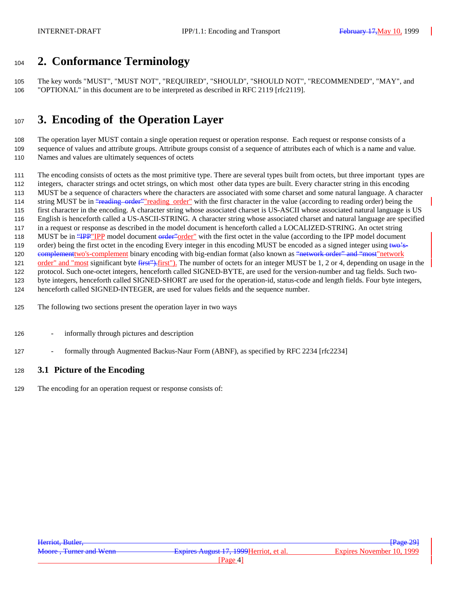# **2. Conformance Terminology**

 The key words "MUST", "MUST NOT", "REQUIRED", "SHOULD", "SHOULD NOT", "RECOMMENDED", "MAY", and "OPTIONAL" in this document are to be interpreted as described in RFC 2119 [rfc2119].

# **3. Encoding of the Operation Layer**

 The operation layer MUST contain a single operation request or operation response. Each request or response consists of a sequence of values and attribute groups. Attribute groups consist of a sequence of attributes each of which is a name and value. Names and values are ultimately sequences of octets

The encoding consists of octets as the most primitive type. There are several types built from octets, but three important types are

integers, character strings and octet strings, on which most other data types are built. Every character string in this encoding

 MUST be a sequence of characters where the characters are associated with some charset and some natural language. A character 114 string MUST be in "reading order" reading order" with the first character in the value (according to reading order) being the

first character in the encoding. A character string whose associated charset is US-ASCII whose associated natural language is US

English is henceforth called a US-ASCII-STRING. A character string whose associated charset and natural language are specified

in a request or response as described in the model document is henceforth called a LOCALIZED-STRING. An octet string

118 MUST be in "**IPP"IPP** model document order" order" with the first octet in the value (according to the IPP model document

119 order) being the first octet in the encoding Every integer in this encoding MUST be encoded as a signed integer using two's-

120 complement two's-complement binary encoding with big-endian format (also known as "network order" and "most" network

121 order" and "most significant byte first"). The number of octets for an integer MUST be 1, 2 or 4, depending on usage in the

 protocol. Such one-octet integers, henceforth called SIGNED-BYTE, are used for the version-number and tag fields. Such two-byte integers, henceforth called SIGNED-SHORT are used for the operation-id, status-code and length fields. Four byte integers,

henceforth called SIGNED-INTEGER, are used for values fields and the sequence number.

The following two sections present the operation layer in two ways

- informally through pictures and description
- 127 formally through Augmented Backus-Naur Form (ABNF), as specified by RFC 2234 [rfc2234]

## **3.1 Picture of the Encoding**

The encoding for an operation request or response consists of: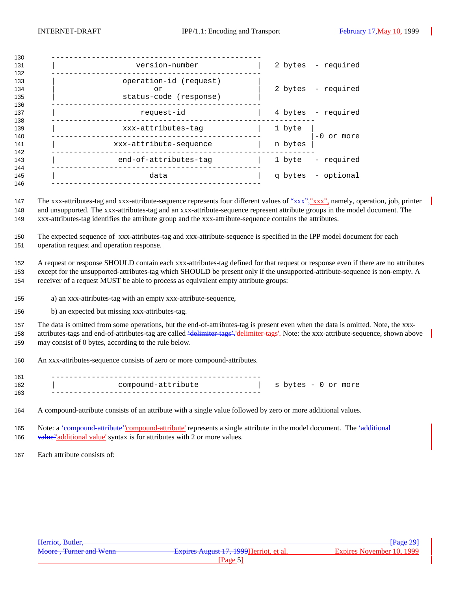| 130                      |                                                        |         |                    |
|--------------------------|--------------------------------------------------------|---------|--------------------|
| 131<br>132               | version-number                                         |         | 2 bytes - required |
| 133<br>134<br>135<br>136 | operation-id (request)<br>or<br>status-code (response) |         | 2 bytes - required |
| 137<br>138               | request-id                                             |         | 4 bytes - required |
| 139<br>140               | xxx-attributes-tag                                     | 1 byte  | $-0$ or more       |
| 141<br>142               | xxx-attribute-sequence                                 | n bytes |                    |
| 143<br>144               | end-of-attributes-tag                                  | 1 byte  | - required         |
| 145<br>146               | data                                                   |         | q bytes - optional |
|                          |                                                        |         |                    |

147 The xxx-attributes-tag and xxx-attribute-sequence represents four different values of "xxx", "xxx", namely, operation, job, printer and unsupported. The xxx-attributes-tag and an xxx-attribute-sequence represent attribute groups in the model document. The xxx-attributes-tag identifies the attribute group and the xxx-attribute-sequence contains the attributes.

 The expected sequence of xxx-attributes-tag and xxx-attribute-sequence is specified in the IPP model document for each operation request and operation response.

 A request or response SHOULD contain each xxx-attributes-tag defined for that request or response even if there are no attributes except for the unsupported-attributes-tag which SHOULD be present only if the unsupported-attribute-sequence is non-empty. A receiver of a request MUST be able to process as equivalent empty attribute groups:

- a) an xxx-attributes-tag with an empty xxx-attribute-sequence,
- b) an expected but missing xxx-attributes-tag.

 The data is omitted from some operations, but the end-of-attributes-tag is present even when the data is omitted. Note, the xxx-158 attributes-tags and end-of-attributes-tag are called <del>'delimiter-tags',</del> 'delimiter-tags'. Note: the xxx-attribute-sequence, shown above may consist of 0 bytes, according to the rule below.

An xxx-attributes-sequence consists of zero or more compound-attributes.

| 161 |                    |                     |
|-----|--------------------|---------------------|
| 162 | compound-attribute | s bytes - 0 or more |
| 163 |                    |                     |

A compound-attribute consists of an attribute with a single value followed by zero or more additional values.

165 Note: a <del>'compound-attribute''compound-attribute'</del> represents a single attribute in the model document. The <del>'additional</del> 166 value<sup>2</sup>'additional value' syntax is for attributes with 2 or more values.

Each attribute consists of: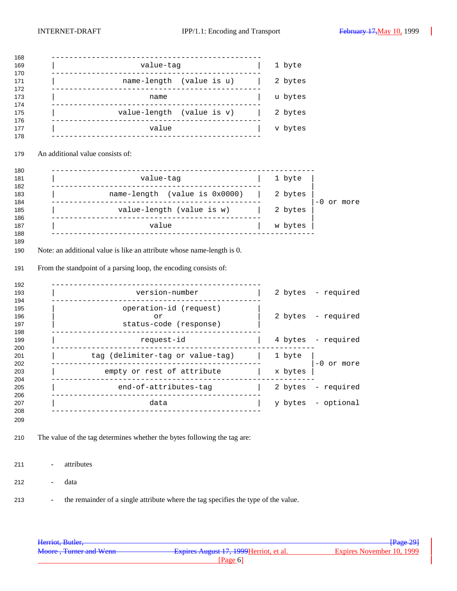| 168               |                                                                                                                                            |                       |
|-------------------|--------------------------------------------------------------------------------------------------------------------------------------------|-----------------------|
| 169               | value-tag                                                                                                                                  | 1 byte                |
| 170<br>171        | name-length (value is u)                                                                                                                   | 2 bytes               |
| 172<br>173        | name<br>____________                                                                                                                       | u bytes               |
| 174<br>175<br>176 | value-length (value is v)                                                                                                                  | 2 bytes               |
| 177<br>178        | value                                                                                                                                      | v bytes               |
| 179               | An additional value consists of:                                                                                                           |                       |
| 180<br>181        | -------------------<br>value-tag                                                                                                           | 1 byte                |
| 182               | . <u>.</u> .                                                                                                                               |                       |
| 183<br>184        | name-length (value is 0x0000)                                                                                                              | 2 bytes<br>-0 or more |
| 185<br>186        | value-length (value is w)                                                                                                                  | 2 bytes               |
| 187<br>188        | value                                                                                                                                      | w bytes               |
| 189               |                                                                                                                                            |                       |
| 190<br>191        | Note: an additional value is like an attribute whose name-length is 0.<br>From the standpoint of a parsing loop, the encoding consists of: |                       |
| 192               |                                                                                                                                            |                       |
| 193<br>194        | version-number                                                                                                                             | 2 bytes - required    |
| 195               | operation-id (request)                                                                                                                     |                       |
| 196<br>197        | or<br>status-code (response)                                                                                                               | 2 bytes - required    |
| 198<br>199        | request-id                                                                                                                                 | 4 bytes - required    |
| 200<br>201        | tag (delimiter-tag or value-tag)                                                                                                           | 1 byte                |
| 202<br>203        | empty or rest of attribute<br>___________________________________                                                                          | -0 or more<br>x bytes |
| 204<br>205        | end-of-attributes-tag                                                                                                                      | - required<br>2 bytes |
| 206<br>207        | data                                                                                                                                       | - optional<br>y bytes |
| 208<br>209        |                                                                                                                                            |                       |
| 210               | The value of the tag determines whether the bytes following the tag are:                                                                   |                       |
| 211               | attributes<br>$\qquad \qquad \blacksquare$                                                                                                 |                       |
| 212               | data                                                                                                                                       |                       |
| 213               | the remainder of a single attribute where the tag specifies the type of the value.<br>$\overline{\phantom{a}}$                             |                       |

| Herriot, Butler,        |                                         | $\frac{1}{2}$ Page 29     |
|-------------------------|-----------------------------------------|---------------------------|
| Moore, Turner and Wenn- | Expires August 17, 1999 Herriot, et al. | Expires November 10, 1999 |
|                         | Page 6                                  |                           |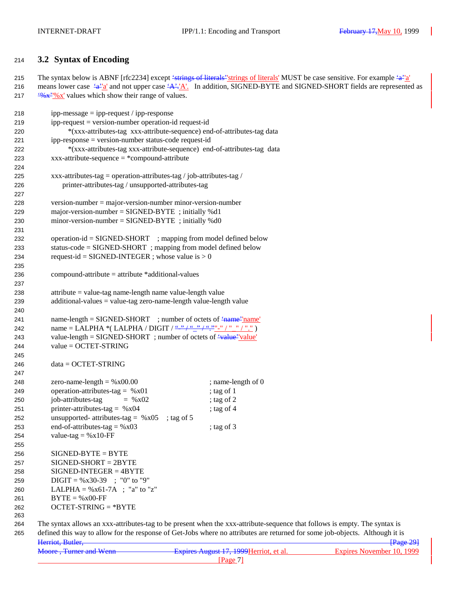## **3.2 Syntax of Encoding**

215 The syntax below is ABNF [rfc2234] except 'strings of literals' strings of literals' MUST be case sensitive. For example 'a''a' 216 means lower case  $\frac{4a^3a}{a}$  and not upper case  $\frac{4A^3a}{a}$ . In addition, SIGNED-BYTE and SIGNED-SHORT fields are represented as 217  $\frac{(0.65 \times 10^{8} \text{ K})}{20 \text{ K}}$  values which show their range of values.

| 218 | $ipp-message = ipp-request / ipp-response$                                               |                                                                                                                              |
|-----|------------------------------------------------------------------------------------------|------------------------------------------------------------------------------------------------------------------------------|
| 219 | $ipp-request = version-number operation-id request-id$                                   |                                                                                                                              |
| 220 | *(xxx-attributes-tag xxx-attribute-sequence) end-of-attributes-tag data                  |                                                                                                                              |
| 221 | ipp-response = version-number status-code request-id                                     |                                                                                                                              |
| 222 | *(xxx-attributes-tag xxx-attribute-sequence) end-of-attributes-tag data                  |                                                                                                                              |
| 223 | $xxx-attribute-sequence = *compound-attribute$                                           |                                                                                                                              |
| 224 |                                                                                          |                                                                                                                              |
| 225 | xxx-attributes-tag = operation-attributes-tag / job-attributes-tag /                     |                                                                                                                              |
| 226 | printer-attributes-tag / unsupported-attributes-tag                                      |                                                                                                                              |
| 227 |                                                                                          |                                                                                                                              |
| 228 | $version-number = major-version-number minor-version-number$                             |                                                                                                                              |
| 229 | major-version-number = $SIGNED-BYTE$ ; initially %d1                                     |                                                                                                                              |
| 230 | minor-version-number = $SIGNED-BYTE$ ; initially %d0                                     |                                                                                                                              |
| 231 |                                                                                          |                                                                                                                              |
| 232 | operation-id = SIGNED-SHORT ; mapping from model defined below                           |                                                                                                                              |
| 233 | status-code = SIGNED-SHORT ; mapping from model defined below                            |                                                                                                                              |
| 234 | request-id = SIGNED-INTEGER ; whose value is $> 0$                                       |                                                                                                                              |
| 235 |                                                                                          |                                                                                                                              |
| 236 | $compound-attribute = attribute * additional-values$                                     |                                                                                                                              |
| 237 |                                                                                          |                                                                                                                              |
| 238 | $attribute = value-tag name-length name value-length value$                              |                                                                                                                              |
| 239 | $additional-values = value-tag zero-name-length value-length value$                      |                                                                                                                              |
| 240 |                                                                                          |                                                                                                                              |
| 241 | name-length = $SIGNED-SHORT$ ; number of octets of $\frac{4}{1}$ ame <sup>-1</sup> name  |                                                                                                                              |
| 242 |                                                                                          |                                                                                                                              |
| 243 | value-length = SIGNED-SHORT ; number of octets of $\frac{4 \text{ value}}{\text{value}}$ |                                                                                                                              |
| 244 | $value = OCTET-STRING$                                                                   |                                                                                                                              |
| 245 |                                                                                          |                                                                                                                              |
| 246 | $data = OCTET-STRING$                                                                    |                                                                                                                              |
| 247 |                                                                                          |                                                                                                                              |
| 248 | zero-name-length = $%x00.00$                                                             | ; name-length of 0                                                                                                           |
| 249 | operation-attributes-tag = $%x01$                                                        | ; tag of 1                                                                                                                   |
| 250 | job-attributes-tag<br>$=$ % x 02                                                         | ; tag of $2$                                                                                                                 |
| 251 | printer-attributes-tag = $%x04$                                                          | ; tag of $4$                                                                                                                 |
| 252 | unsupported- attributes-tag = $%x05$<br>; tag of $5$                                     |                                                                                                                              |
| 253 | end-of-attributes-tag = $%x03$                                                           | ; tag of $3$                                                                                                                 |
| 254 | value-tag = $%x10$ -FF                                                                   |                                                                                                                              |
| 255 |                                                                                          |                                                                                                                              |
| 256 | $SIGNED-BYTE = BYTE$                                                                     |                                                                                                                              |
| 257 | $SIGNED-SHORT = 2BYTE$                                                                   |                                                                                                                              |
| 258 | $SIGNED-INTER = 4BYTE$                                                                   |                                                                                                                              |
| 259 | $\text{Diff} = \% \times 30-39$ ; "0" to "9"                                             |                                                                                                                              |
| 260 | LALPHA = $\%x61-7A$ ; "a" to "z"                                                         |                                                                                                                              |
| 261 | $BYTE = %x00-FF$                                                                         |                                                                                                                              |
| 262 | $OCTET-STRING = *BYTE$                                                                   |                                                                                                                              |
| 263 |                                                                                          |                                                                                                                              |
| 264 |                                                                                          | The syntax allows an xxx-attributes-tag to be present when the xxx-attribute-sequence that follows is empty. The syntax is   |
| 265 |                                                                                          | defined this way to allow for the response of Get-Jobs where no attributes are returned for some job-objects. Although it is |
|     | Herriot Butler                                                                           | $P9$ $Q9$                                                                                                                    |

| Herriot, Butler,       |                                         | $\frac{12}{2}$            |
|------------------------|-----------------------------------------|---------------------------|
| Moore, Turner and Wenn | Expires August 17, 1999 Herriot, et al. | Expires November 10, 1999 |
|                        | Page                                    |                           |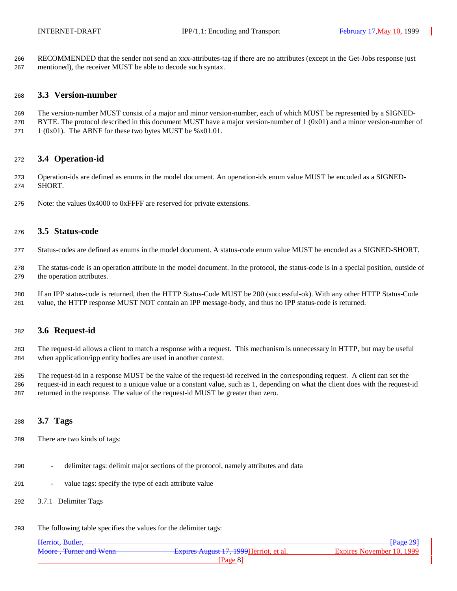RECOMMENDED that the sender not send an xxx-attributes-tag if there are no attributes (except in the Get-Jobs response just mentioned), the receiver MUST be able to decode such syntax.

#### **3.3 Version-number**

- The version-number MUST consist of a major and minor version-number, each of which MUST be represented by a SIGNED-
- 270 BYTE. The protocol described in this document MUST have a major version-number of  $1 (0x01)$  and a minor version-number of 271 1 (0x01). The ABNF for these two bytes MUST be  $%x01.01$ .
- 

## **3.4 Operation-id**

- Operation-ids are defined as enums in the model document. An operation-ids enum value MUST be encoded as a SIGNED-SHORT.
- Note: the values 0x4000 to 0xFFFF are reserved for private extensions.

## **3.5 Status-code**

- Status-codes are defined as enums in the model document. A status-code enum value MUST be encoded as a SIGNED-SHORT.
- The status-code is an operation attribute in the model document. In the protocol, the status-code is in a special position, outside of the operation attributes.
- If an IPP status-code is returned, then the HTTP Status-Code MUST be 200 (successful-ok). With any other HTTP Status-Code value, the HTTP response MUST NOT contain an IPP message-body, and thus no IPP status-code is returned.

### **3.6 Request-id**

- The request-id allows a client to match a response with a request. This mechanism is unnecessary in HTTP, but may be useful when application/ipp entity bodies are used in another context.
- The request-id in a response MUST be the value of the request-id received in the corresponding request. A client can set the request-id in each request to a unique value or a constant value, such as 1, depending on what the client does with the request-id returned in the response. The value of the request-id MUST be greater than zero.

### **3.7 Tags**

- There are two kinds of tags:
- delimiter tags: delimit major sections of the protocol, namely attributes and data
- value tags: specify the type of each attribute value
- 3.7.1 Delimiter Tags
- The following table specifies the values for the delimiter tags:

| Herriot, Butler,       |                                         | Page 291                  |
|------------------------|-----------------------------------------|---------------------------|
| Moore, Turner and Wenn | Expires August 17, 1999 Herriot, et al. | Expires November 10, 1999 |
|                        | Page 8                                  |                           |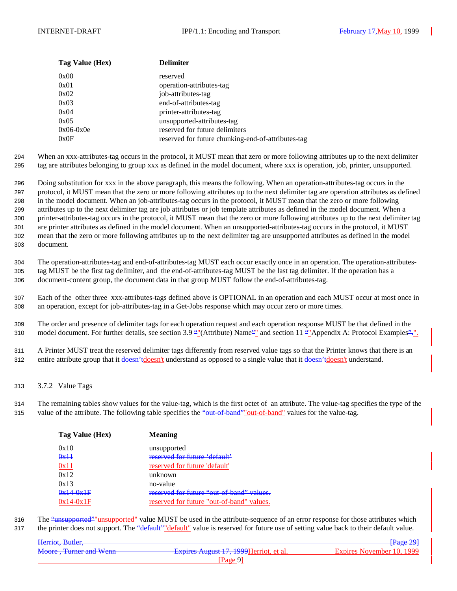| Tag Value (Hex) | <b>Delimiter</b>                                   |
|-----------------|----------------------------------------------------|
| 0x00            | reserved                                           |
| 0x01            | operation-attributes-tag                           |
| 0x02            | job-attributes-tag                                 |
| 0x03            | end-of-attributes-tag                              |
| 0x04            | printer-attributes-tag                             |
| 0x05            | unsupported-attributes-tag                         |
| $0x06-0x0e$     | reserved for future delimiters                     |
| 0x0F            | reserved for future chunking-end-of-attributes-tag |

294 When an xxx-attributes-tag occurs in the protocol, it MUST mean that zero or more following attributes up to the next delimiter 295 tag are attributes belonging to group xxx as defined in the model document, where xxx is operation, job, printer, unsupported.

 Doing substitution for xxx in the above paragraph, this means the following. When an operation-attributes-tag occurs in the protocol, it MUST mean that the zero or more following attributes up to the next delimiter tag are operation attributes as defined in the model document. When an job-attributes-tag occurs in the protocol, it MUST mean that the zero or more following attributes up to the next delimiter tag are job attributes or job template attributes as defined in the model document. When a printer-attributes-tag occurs in the protocol, it MUST mean that the zero or more following attributes up to the next delimiter tag are printer attributes as defined in the model document. When an unsupported-attributes-tag occurs in the protocol, it MUST mean that the zero or more following attributes up to the next delimiter tag are unsupported attributes as defined in the model document.

304 The operation-attributes-tag and end-of-attributes-tag MUST each occur exactly once in an operation. The operation-attributes-305 tag MUST be the first tag delimiter, and the end-of-attributes-tag MUST be the last tag delimiter. If the operation has a 306 document-content group, the document data in that group MUST follow the end-of-attributes-tag.

307 Each of the other three xxx-attributes-tags defined above is OPTIONAL in an operation and each MUST occur at most once in 308 an operation, except for job-attributes-tag in a Get-Jobs response which may occur zero or more times.

309 The order and presence of delimiter tags for each operation request and each operation response MUST be that defined in the 310 model document. For further details, see section 3.9 ""(Attribute) Name" and section 11 ""Appendix A: Protocol Examples".".

311 A Printer MUST treat the reserved delimiter tags differently from reserved value tags so that the Printer knows that there is an 312 entire attribute group that it doesn't understand as opposed to a single value that it doesn't understand.

313 3.7.2 Value Tags

314 The remaining tables show values for the value-tag, which is the first octet of an attribute. The value-tag specifies the type of the 315 value of the attribute. The following table specifies the "out-of-band" out-of-band" values for the value-tag.

| Tag Value (Hex)          | <b>Meaning</b>                            |  |
|--------------------------|-------------------------------------------|--|
| 0x10                     | unsupported                               |  |
| $\theta$ x <sup>11</sup> | reserved for future 'default'             |  |
| 0x11                     | reserved for future 'default'             |  |
| 0x12                     | unknown                                   |  |
| 0x13                     | no-value                                  |  |
| $0x14-0x1F$              | reserved for future "out-of-band" values. |  |
| $0x14-0x1F$              | reserved for future "out-of-band" values. |  |

316 The "unsupported" unsupported" value MUST be used in the attribute-sequence of an error response for those attributes which 317 the printer does not support. The "<del>default" "default</del>" value is reserved for future use of setting value back to their default value.

| Herriot, Butler,              |                                         | <del>[Page 29]</del>      |
|-------------------------------|-----------------------------------------|---------------------------|
| <b>Moore, Turner and Wenn</b> | Expires August 17, 1999 Herriot, et al. | Expires November 10, 1999 |
|                               | Page                                    |                           |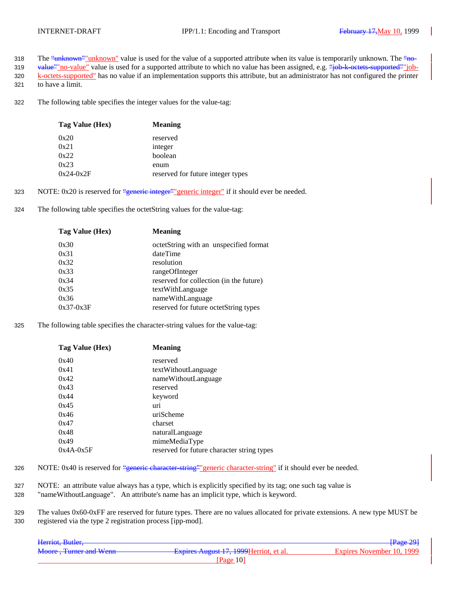- 318 The "unknown" unknown" value is used for the value of a supported attribute when its value is temporarily unknown. The "no-
- 319 value" no-value" value is used for a supported attribute to which no value has been assigned, e.g. "job-k-octets-supported" job-320 k-octets-supported" has no value if an implementation supports this attribute, but an administrator has not configured the printer
- 321 to have a limit.
- 322 The following table specifies the integer values for the value-tag:

| Tag Value (Hex) | <b>Meaning</b>                    |
|-----------------|-----------------------------------|
| 0x20            | reserved                          |
| 0x21            | integer                           |
| 0x22            | boolean                           |
| 0x23            | enum                              |
| $0x24-0x2F$     | reserved for future integer types |

- 323 NOTE:  $0x20$  is reserved for "generic integer" generic integer" if it should ever be needed.
- 324 The following table specifies the octetString values for the value-tag:

| Tag Value (Hex) | <b>Meaning</b>                          |  |
|-----------------|-----------------------------------------|--|
| 0x30            | octetString with an unspecified format  |  |
| 0x31            | dateTime                                |  |
| 0x32            | resolution                              |  |
| 0x33            | rangeOfInteger                          |  |
| 0x34            | reserved for collection (in the future) |  |
| 0x35            | textWithLanguage                        |  |
| 0x36            | nameWithLanguage                        |  |
| $0x37-0x3F$     | reserved for future octetString types   |  |
|                 |                                         |  |

325 The following table specifies the character-string values for the value-tag:

| Tag Value (Hex) | <b>Meaning</b>                             |
|-----------------|--------------------------------------------|
| 0x40            | reserved                                   |
| 0x41            | textWithoutLanguage                        |
| 0x42            | nameWithoutLanguage                        |
| 0x43            | reserved                                   |
| 0x44            | keyword                                    |
| 0x45            | uri                                        |
| 0x46            | uriScheme                                  |
| 0x47            | charset                                    |
| 0x48            | naturalLanguage                            |
| 0x49            | mimeMediaType                              |
| $0x4A-0x5F$     | reserved for future character string types |

- 326 NOTE: 0x40 is reserved for "generic character-string" generic character-string" if it should ever be needed.
- 327 NOTE: an attribute value always has a type, which is explicitly specified by its tag; one such tag value is
- 328 "nameWithoutLanguage". An attribute's name has an implicit type, which is keyword.
- 329 The values 0x60-0xFF are reserved for future types. There are no values allocated for private extensions. A new type MUST be 330 registered via the type 2 registration process [ipp-mod].

| Herriot, Butler,       |                                                | $\sqrt{\text{Page }29}$   |
|------------------------|------------------------------------------------|---------------------------|
| Moore, Turner and Wenn | <b>Expires August 17, 1999 Herriot, et al.</b> | Expires November 10, 1999 |
|                        | Page $10$                                      |                           |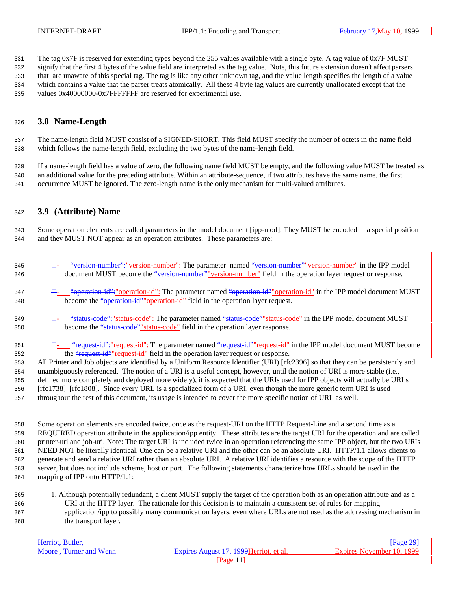The tag 0x7F is reserved for extending types beyond the 255 values available with a single byte. A tag value of 0x7F MUST signify that the first 4 bytes of the value field are interpreted as the tag value. Note, this future extension doesn't affect parsers that are unaware of this special tag. The tag is like any other unknown tag, and the value length specifies the length of a value which contains a value that the parser treats atomically. All these 4 byte tag values are currently unallocated except that the values 0x40000000-0x7FFFFFFF are reserved for experimental use.

### **3.8 Name-Length**

 The name-length field MUST consist of a SIGNED-SHORT. This field MUST specify the number of octets in the name field which follows the name-length field, excluding the two bytes of the name-length field.

 If a name-length field has a value of zero, the following name field MUST be empty, and the following value MUST be treated as an additional value for the preceding attribute. Within an attribute-sequence, if two attributes have the same name, the first occurrence MUST be ignored. The zero-length name is the only mechanism for multi-valued attributes.

### **3.9 (Attribute) Name**

 Some operation elements are called parameters in the model document [ipp-mod]. They MUST be encoded in a special position and they MUST NOT appear as an operation attributes. These parameters are:

| 345 | $\Box$ "version-number": "version-number": The parameter named "version-number" version-number" in the IPP model |
|-----|------------------------------------------------------------------------------------------------------------------|
| 346 | document MUST become the "version-number" version-number" field in the operation layer request or response.      |

- "operation-id":"operation-id": The parameter named "operation-id""operation-id" in the IPP model document MUST 348 become the "operation-id" operation-id" field in the operation layer request.
- "status-code":"status-code": The parameter named "status-code""status-code" in the IPP model document MUST 350 become the "status-code" status-code" field in the operation layer response.
- 351  $\frac{\Box_{\text{--}}}{\Box_{\text{--}}}\text{``request-id''':}$  request-id": The parameter named "request-id" request-id" in the IPP model document MUST become 352 the "request-id" request-id" field in the operation layer request or response.

 All Printer and Job objects are identified by a Uniform Resource Identifier (URI) [rfc2396] so that they can be persistently and unambiguously referenced. The notion of a URI is a useful concept, however, until the notion of URI is more stable (i.e., defined more completely and deployed more widely), it is expected that the URIs used for IPP objects will actually be URLs [rfc1738] [rfc1808]. Since every URL is a specialized form of a URI, even though the more generic term URI is used throughout the rest of this document, its usage is intended to cover the more specific notion of URL as well.

 Some operation elements are encoded twice, once as the request-URI on the HTTP Request-Line and a second time as a REQUIRED operation attribute in the application/ipp entity. These attributes are the target URI for the operation and are called printer-uri and job-uri. Note: The target URI is included twice in an operation referencing the same IPP object, but the two URIs NEED NOT be literally identical. One can be a relative URI and the other can be an absolute URI. HTTP/1.1 allows clients to generate and send a relative URI rather than an absolute URI. A relative URI identifies a resource with the scope of the HTTP server, but does not include scheme, host or port. The following statements characterize how URLs should be used in the mapping of IPP onto HTTP/1.1:

 1. Although potentially redundant, a client MUST supply the target of the operation both as an operation attribute and as a URI at the HTTP layer. The rationale for this decision is to maintain a consistent set of rules for mapping application/ipp to possibly many communication layers, even where URLs are not used as the addressing mechanism in the transport layer.

|         | Page 291                                |
|---------|-----------------------------------------|
|         |                                         |
|         | Expires November 10, 1999               |
|         |                                         |
| Page 11 |                                         |
|         | Expires August 17, 1999 Herriot, et al. |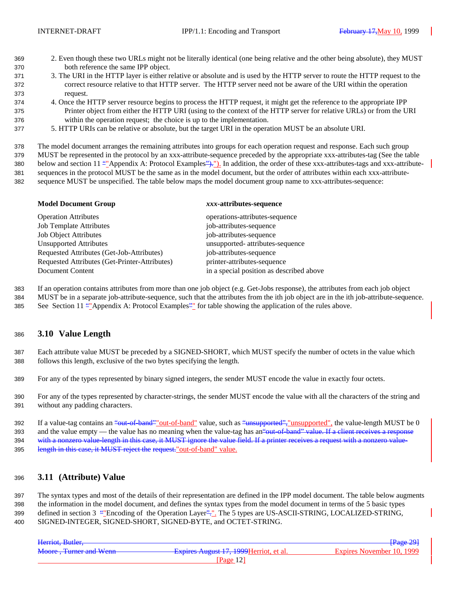- 2. Even though these two URLs might not be literally identical (one being relative and the other being absolute), they MUST both reference the same IPP object.
- 3. The URI in the HTTP layer is either relative or absolute and is used by the HTTP server to route the HTTP request to the correct resource relative to that HTTP server. The HTTP server need not be aware of the URI within the operation request.
- 4. Once the HTTP server resource begins to process the HTTP request, it might get the reference to the appropriate IPP Printer object from either the HTTP URI (using to the context of the HTTP server for relative URLs) or from the URI within the operation request; the choice is up to the implementation.
- 5. HTTP URIs can be relative or absolute, but the target URI in the operation MUST be an absolute URI.

The model document arranges the remaining attributes into groups for each operation request and response. Each such group

 MUST be represented in the protocol by an xxx-attribute-sequence preceded by the appropriate xxx-attributes-tag (See the table 380 below and section 11 ""Appendix A: Protocol Examples">,"). In addition, the order of these xxx-attributes-tags and xxx-attribute- sequences in the protocol MUST be the same as in the model document, but the order of attributes within each xxx-attribute-sequence MUST be unspecified. The table below maps the model document group name to xxx-attributes-sequence:

| <b>Model Document Group</b>                   | xxx-attributes-sequence                  |  |
|-----------------------------------------------|------------------------------------------|--|
| <b>Operation Attributes</b>                   | operations-attributes-sequence           |  |
| <b>Job Template Attributes</b>                | job-attributes-sequence                  |  |
| <b>Job Object Attributes</b>                  | job-attributes-sequence                  |  |
| <b>Unsupported Attributes</b>                 | unsupported- attributes-sequence         |  |
| Requested Attributes (Get-Job-Attributes)     | job-attributes-sequence                  |  |
| Requested Attributes (Get-Printer-Attributes) | printer-attributes-sequence              |  |
| Document Content                              | in a special position as described above |  |
|                                               |                                          |  |

If an operation contains attributes from more than one job object (e.g. Get-Jobs response), the attributes from each job object

- MUST be in a separate job-attribute-sequence, such that the attributes from the ith job object are in the ith job-attribute-sequence.
- See Section 11 ""Appendix A: Protocol Examples"" for table showing the application of the rules above.

## **3.10 Value Length**

 Each attribute value MUST be preceded by a SIGNED-SHORT, which MUST specify the number of octets in the value which follows this length, exclusive of the two bytes specifying the length.

- For any of the types represented by binary signed integers, the sender MUST encode the value in exactly four octets.
- For any of the types represented by character-strings, the sender MUST encode the value with all the characters of the string and without any padding characters.

392 If a value-tag contains an "out-of-band" out-of-band" value, such as "unsupported", "unsupported", the value-length MUST be 0 393 and the value empty — the value has no meaning when the value-tag has an<del>"out-of-band" value. If a client receives a response</del> 394 with a nonzero value-length in this case, it MUST ignore the value field. If a printer receives a request with a nonzero value length in this case, it MUST reject the request."out-of-band" value.

## **3.11 (Attribute) Value**

 The syntax types and most of the details of their representation are defined in the IPP model document. The table below augments the information in the model document, and defines the syntax types from the model document in terms of the 5 basic types 399 defined in section 3 ""Encoding of the Operation Layer":". The 5 types are US-ASCII-STRING, LOCALIZED-STRING,

SIGNED-INTEGER, SIGNED-SHORT, SIGNED-BYTE, and OCTET-STRING.

| Herriot, Butler,       |                                         | Page 29                   |
|------------------------|-----------------------------------------|---------------------------|
| Moore, Turner and Wenn | Expires August 17, 1999 Herriot, et al. | Expires November 10, 1999 |
|                        | Page $121$                              |                           |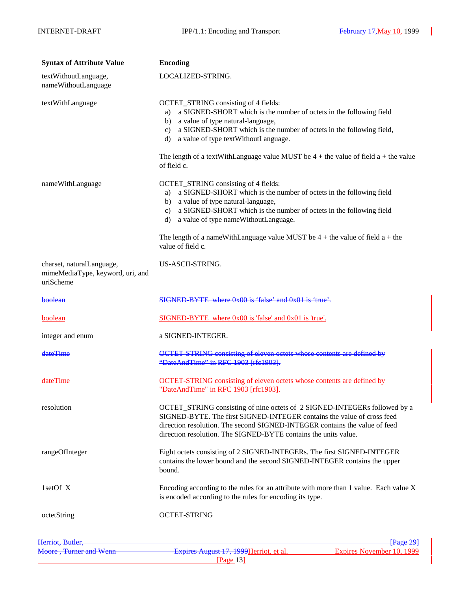| <b>Syntax of Attribute Value</b>                                           | <b>Encoding</b>                                                                                                                                                                                                                                                                                      |  |
|----------------------------------------------------------------------------|------------------------------------------------------------------------------------------------------------------------------------------------------------------------------------------------------------------------------------------------------------------------------------------------------|--|
| textWithoutLanguage,<br>nameWithoutLanguage                                | LOCALIZED-STRING.                                                                                                                                                                                                                                                                                    |  |
| textWithLanguage                                                           | OCTET_STRING consisting of 4 fields:<br>a SIGNED-SHORT which is the number of octets in the following field<br>a)<br>a value of type natural-language,<br>b)<br>a SIGNED-SHORT which is the number of octets in the following field,<br>c)<br>a value of type textWithoutLanguage.<br>d)             |  |
|                                                                            | The length of a text With Language value MUST be $4 +$ the value of field $a +$ the value<br>of field c.                                                                                                                                                                                             |  |
| nameWithLanguage                                                           | OCTET_STRING consisting of 4 fields:<br>a SIGNED-SHORT which is the number of octets in the following field<br>a)<br>a value of type natural-language,<br>b)<br>a SIGNED-SHORT which is the number of octets in the following field<br>c)<br>a value of type nameWithoutLanguage.<br>d)              |  |
|                                                                            | The length of a nameWithLanguage value MUST be $4 +$ the value of field $a +$ the<br>value of field c.                                                                                                                                                                                               |  |
| charset, naturalLanguage,<br>mimeMediaType, keyword, uri, and<br>uriScheme | US-ASCII-STRING.                                                                                                                                                                                                                                                                                     |  |
| boolean                                                                    | SIGNED-BYTE where 0x00 is 'false' and 0x01 is 'true'.                                                                                                                                                                                                                                                |  |
| boolean                                                                    | SIGNED-BYTE where 0x00 is 'false' and 0x01 is 'true'.                                                                                                                                                                                                                                                |  |
| integer and enum                                                           | a SIGNED-INTEGER.                                                                                                                                                                                                                                                                                    |  |
| dateTime                                                                   | OCTET-STRING consisting of eleven octets whose contents are defined by<br>"DateAndTime" in RFC 1903 [rfc1903].                                                                                                                                                                                       |  |
| dateTime                                                                   | <b>OCTET-STRING</b> consisting of eleven octets whose contents are defined by<br>"DateAndTime" in RFC 1903 [rfc1903].                                                                                                                                                                                |  |
| resolution                                                                 | OCTET_STRING consisting of nine octets of 2 SIGNED-INTEGERs followed by a<br>SIGNED-BYTE. The first SIGNED-INTEGER contains the value of cross feed<br>direction resolution. The second SIGNED-INTEGER contains the value of feed<br>direction resolution. The SIGNED-BYTE contains the units value. |  |
| rangeOfInteger                                                             | Eight octets consisting of 2 SIGNED-INTEGERs. The first SIGNED-INTEGER<br>contains the lower bound and the second SIGNED-INTEGER contains the upper<br>bound.                                                                                                                                        |  |
| 1setOf $X$                                                                 | Encoding according to the rules for an attribute with more than 1 value. Each value X<br>is encoded according to the rules for encoding its type.                                                                                                                                                    |  |
| octetString                                                                | <b>OCTET-STRING</b>                                                                                                                                                                                                                                                                                  |  |
| Herriot, Butler,                                                           | <del>  Page 29</del>                                                                                                                                                                                                                                                                                 |  |
|                                                                            | Moore, Turner and Wenn Expires August 17, 1999 Herriot, et al.<br>Expires November 10, 1999<br>[Page 13]                                                                                                                                                                                             |  |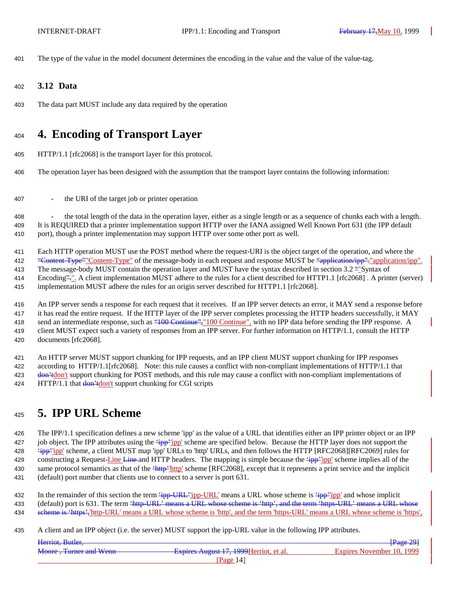The type of the value in the model document determines the encoding in the value and the value of the value-tag.

- **3.12 Data**
- The data part MUST include any data required by the operation

# **4. Encoding of Transport Layer**

HTTP/1.1 [rfc2068] is the transport layer for this protocol.

The operation layer has been designed with the assumption that the transport layer contains the following information:

- the URI of the target job or printer operation

 - the total length of the data in the operation layer, either as a single length or as a sequence of chunks each with a length. It is REQUIRED that a printer implementation support HTTP over the IANA assigned Well Known Port 631 (the IPP default port), though a printer implementation may support HTTP over some other port as well.

Each HTTP operation MUST use the POST method where the request-URI is the object target of the operation, and where the

412 "Content-Type""Content-Type" of the message-body in each request and response MUST be "application/ipp". "application/ipp".

 The message-body MUST contain the operation layer and MUST have the syntax described in section 3.2 ""Syntax of Encoding".". A client implementation MUST adhere to the rules for a client described for HTTP1.1 [rfc2068] . A printer (server)

implementation MUST adhere the rules for an origin server described for HTTP1.1 [rfc2068].

 An IPP server sends a response for each request that it receives. If an IPP server detects an error, it MAY send a response before it has read the entire request. If the HTTP layer of the IPP server completes processing the HTTP headers successfully, it MAY 418 send an intermediate response, such as "100 Continue", "100 Continue", with no IPP data before sending the IPP response. A client MUST expect such a variety of responses from an IPP server. For further information on HTTP/1.1, consult the HTTP documents [rfc2068].

 An HTTP server MUST support chunking for IPP requests, and an IPP client MUST support chunking for IPP responses according to HTTP/1.1[rfc2068]. Note: this rule causes a conflict with non-compliant implementations of HTTP/1.1 that 423 don't don't support chunking for POST methods, and this rule may cause a conflict with non-compliant implementations of 424 HTTP/1.1 that  $\frac{1}{2}$  don't support chunking for CGI scripts

# **5. IPP URL Scheme**

 The IPP/1.1 specification defines a new scheme 'ipp' as the value of a URL that identifies either an IPP printer object or an IPP 427 job object. The IPP attributes using the  $\frac{2}{1}$ pp' scheme are specified below. Because the HTTP layer does not support the 428 <sup>'</sup>ipp''ipp' scheme, a client MUST map 'ipp' URLs to 'http' URLs, and then follows the HTTP [RFC2068][RFC2069] rules for 429 constructing a Request-Line Line and HTTP headers. The mapping is simple because the 'ipp' 'ipp' scheme implies all of the 430 same protocol semantics as that of the 'http''http' scheme [RFC2068], except that it represents a print service and the implicit (default) port number that clients use to connect to a server is port 631.

432 In the remainder of this section the term  $\frac{p}{i}$ -URL' ipp-URL' means a URL whose scheme is  $\frac{p}{i}$ - $\frac{p}{i}$  and whose implicit 433 (default) port is 631. The term 'http-URL' means a URL whose scheme is 'http', and the term 'https-URL' means a URL whose scheme is 'https','http-URL' means a URL whose scheme is 'http', and the term 'https-URL' means a URL whose scheme is 'https',

A client and an IPP object (i.e. the server) MUST support the ipp-URL value in the following IPP attributes.

| Herriot, Butler,       |                                         | $\sqrt{\text{Page }29}$   |
|------------------------|-----------------------------------------|---------------------------|
| Moore, Turner and Wenn | Expires August 17, 1999 Herriot, et al. | Expires November 10, 1999 |
|                        | Page 14 <sup>-</sup>                    |                           |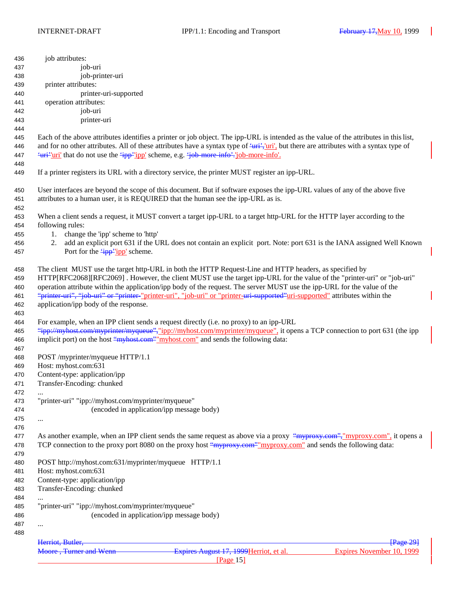| 436        | job attributes:                                                                                                                                           |
|------------|-----------------------------------------------------------------------------------------------------------------------------------------------------------|
| 437        | job-uri                                                                                                                                                   |
| 438        | job-printer-uri                                                                                                                                           |
| 439        | printer attributes:                                                                                                                                       |
| 440        | printer-uri-supported                                                                                                                                     |
| 441        | operation attributes:                                                                                                                                     |
| 442        | job-uri                                                                                                                                                   |
| 443        | printer-uri                                                                                                                                               |
| 444        |                                                                                                                                                           |
| 445        | Each of the above attributes identifies a printer or job object. The ipp-URL is intended as the value of the attributes in this list,                     |
| 446        | and for no other attributes. All of these attributes have a syntax type of $\frac{1}{x}$ , $\frac{1}{y}$ , but there are attributes with a syntax type of |
| 447        | <del>'uri''uri'</del> that do not use the 'ipp' 'ipp' scheme, e.g. 'job-more-info'.'job-more-info'.                                                       |
| 448        |                                                                                                                                                           |
| 449        | If a printer registers its URL with a directory service, the printer MUST register an ipp-URL.                                                            |
| 450        | User interfaces are beyond the scope of this document. But if software exposes the ipp-URL values of any of the above five                                |
| 451        | attributes to a human user, it is REQUIRED that the human see the ipp-URL as is.                                                                          |
| 452        |                                                                                                                                                           |
| 453        | When a client sends a request, it MUST convert a target ipp-URL to a target http-URL for the HTTP layer according to the                                  |
| 454        | following rules:                                                                                                                                          |
| 455        | change the 'ipp' scheme to 'http'<br>1.                                                                                                                   |
| 456        | add an explicit port 631 if the URL does not contain an explicit port. Note: port 631 is the IANA assigned Well Known<br>2.                               |
| 457        | Port for the $\frac{2}{1}$ pp' scheme.                                                                                                                    |
| 458        | The client MUST use the target http-URL in both the HTTP Request-Line and HTTP headers, as specified by                                                   |
| 459        | HTTP[RFC2068][RFC2069]. However, the client MUST use the target ipp-URL for the value of the "printer-uri" or "job-uri"                                   |
| 460        | operation attribute within the application/ipp body of the request. The server MUST use the ipp-URL for the value of the                                  |
| 461        | "printer-uri", "job-uri" or "printer-"printer-uri", "job-uri" or "printer-uri-supported"uri-supported" attributes within the                              |
| 462        | application/ipp body of the response.                                                                                                                     |
| 463        |                                                                                                                                                           |
| 464        | For example, when an IPP client sends a request directly (i.e. no proxy) to an ipp-URL                                                                    |
| 465        | "ipp://myhost.com/myprinter/myqueue","ipp://myhost.com/myprinter/myqueue", it opens a TCP connection to port 631 (the ipp                                 |
| 466        | implicit port) on the host "myhost.com" myhost.com" and sends the following data:                                                                         |
| 467        |                                                                                                                                                           |
| 468        | POST /myprinter/myqueue HTTP/1.1                                                                                                                          |
| 469        | Host: myhost.com:631                                                                                                                                      |
| 470        | Content-type: application/ipp                                                                                                                             |
| 471        | Transfer-Encoding: chunked                                                                                                                                |
| 472        |                                                                                                                                                           |
| 473        | "printer-uri" "ipp://myhost.com/myprinter/myqueue"                                                                                                        |
| 474        | (encoded in application/ipp message body)                                                                                                                 |
| 475        | $\cdots$                                                                                                                                                  |
| 476        |                                                                                                                                                           |
| 477        | As another example, when an IPP client sends the same request as above via a proxy "myproxy.com", "myproxy.com", it opens a                               |
| 478        | TCP connection to the proxy port 8080 on the proxy host "myproxy.com" myproxy.com" and sends the following data:                                          |
| 479        |                                                                                                                                                           |
| 480        | POST http://myhost.com:631/myprinter/myqueue HTTP/1.1<br>Host: myhost.com:631                                                                             |
| 481        |                                                                                                                                                           |
| 482        | Content-type: application/ipp<br>Transfer-Encoding: chunked                                                                                               |
| 483<br>484 |                                                                                                                                                           |
| 485        | "printer-uri" "ipp://myhost.com/myprinter/myqueue"                                                                                                        |
| 486        | (encoded in application/ipp message body)                                                                                                                 |
| 487        |                                                                                                                                                           |
| 488        |                                                                                                                                                           |
|            | Herriot, Butler,<br>$\sqrt{\text{Page } 29}$                                                                                                              |
|            | Expires August 17, 1999 Herriot, et al.<br>Moore, Turner and Wenn<br>Expires November 10, 1999                                                            |
|            | [Page $15$ ]                                                                                                                                              |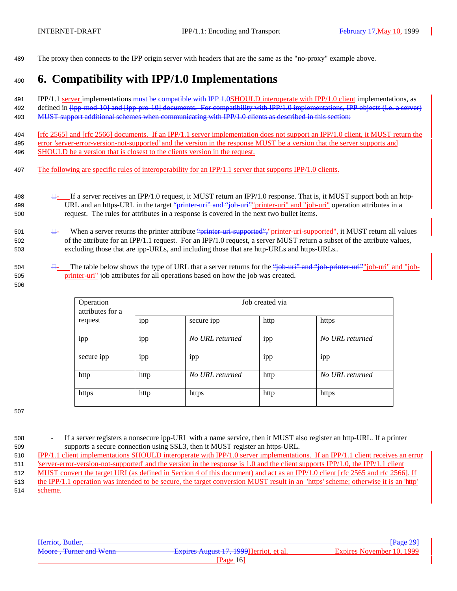489 The proxy then connects to the IPP origin server with headers that are the same as the "no-proxy" example above.

# <sup>490</sup> **6. Compatibility with IPP/1.0 Implementations**

491 IPP/1.1 server implementations must be compatible with IPP 1.0SHOULD interoperate with IPP/1.0 client implementations, as 492 defined in  $\frac{1}{1}$  and  $\frac{1}{1}$  and  $\frac{1}{1}$  ipp-pro-10] documents. For compatibility with IPP/1.0 implementations, IPP objects (i.e. a server) 493 MUST support additional schemes when communicating with IPP/1.0 clients as described in this section:

494 [rfc 2565] and [rfc 2566] documents. If an IPP/1.1 server implementation does not support an IPP/1.0 client, it MUST return the 495 error 'server-error-version-not-supported' and the version in the response MUST be a version that the server supports and 496 SHOULD be a version that is closest to the clients version in the request.

- 497 The following are specific rules of interoperability for an IPP/1.1 server that supports IPP/1.0 clients.
- 498  $\frac{\Box}{\Box}$  If a server receives an IPP/1.0 request, it MUST return an IPP/1.0 response. That is, it MUST support both an http-499 URL and an https-URL in the target "printer-uri" and "job-uri" printer-uri" and "job-uri" operation attributes in a 500 request. The rules for attributes in a response is covered in the next two bullet items.
- 501  $\Box$  When a server returns the printer attribute "printer-uri-supported", "printer-uri-supported", it MUST return all values 502 of the attribute for an IPP/1.1 request. For an IPP/1.0 request, a server MUST return a subset of the attribute values, 503 excluding those that are ipp-URLs, and including those that are http-URLs and https-URLs..
- 504 The table below shows the type of URL that a server returns for the "job-uri" and "job-printer-uri"" job-uri" and "job-505 printer-uri" job attributes for all operations based on how the job was created.
	- Operation Job created via attributes for a request ipp secure ipp https https ipp ipp *No URL returned* ipp *No URL returned* secure ipp ipp ipp ipp ipp ipp ipp ipp in its in the interval in the interval in the interval in the interval in the interval in the interval in the interval interval in the interval interval in the interval interval in th http http *No URL returned* http *No URL returned* https http http https https https https https https https https https https https https https https  $h$

507

506

- 508 If a server registers a nonsecure ipp-URL with a name service, then it MUST also register an http-URL. If a printer 509 supports a secure connection using SSL3, then it MUST register an https-URL.
- 510 IPP/1.1 client implementations SHOULD interoperate with IPP/1.0 server implementations. If an IPP/1.1 client receives an error
- 511 'server-error-version-not-supported' and the version in the response is 1.0 and the client supports IPP/1.0, the IPP/1.1 client
- 512 MUST convert the target URI (as defined in Section 4 of this document) and act as an IPP/1.0 client [rfc 2565 and rfc 2566]. If
- 513 the IPP/1.1 operation was intended to be secure, the target conversion MUST result in an 'https' scheme; otherwise it is an 'http'
- 514 scheme.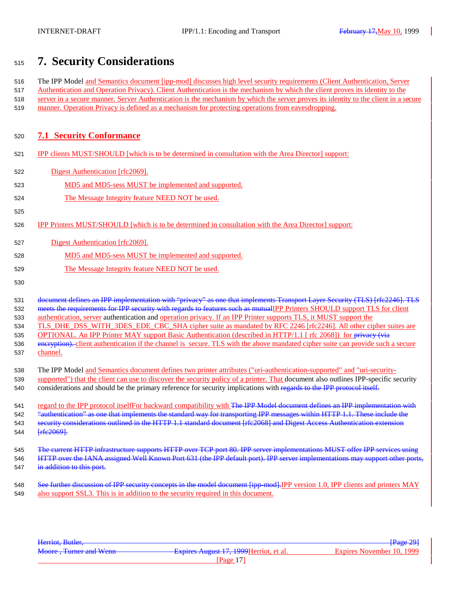# **7. Security Considerations**

 The IPP Model and Semantics document [ipp-mod] discusses high level security requirements (Client Authentication, Server Authentication and Operation Privacy). Client Authentication is the mechanism by which the client proves its identity to the server in a secure manner. Server Authentication is the mechanism by which the server proves its identity to the client in a secure manner. Operation Privacy is defined as a mechanism for protecting operations from eavesdropping.

## **7.1 Security Conformance**

- IPP clients MUST/SHOULD [which is to be determined in consultation with the Area Director] support:
- Digest Authentication [rfc2069].
- MD5 and MD5-sess MUST be implemented and supported.
- The Message Integrity feature NEED NOT be used.
- IPP Printers MUST/SHOULD [which is to be determined in consultation with the Area Director] support:
- Digest Authentication [rfc2069].
- MD5 and MD5-sess MUST be implemented and supported.
- The Message Integrity feature NEED NOT be used.
- 

 document defines an IPP implementation with "privacy" as one that implements Transport Layer Security (TLS) [rfc2246]. TLS 532 meets the requirements for IPP security with regards to features such as mutualIPP Printers SHOULD support TLS for client authentication, server authentication and operation privacy. If an IPP Printer supports TLS, it MUST support the 534 TLS DHE DSS WITH\_3DES\_EDE\_CBC\_SHA cipher suite as mandated by RFC 2246 [rfc2246]. All other cipher suites are 535 OPTIONAL. An IPP Printer MAY support Basic Authentication (described in HTTP/1.1 [ rfc 2068]) for privacy (via 536 eneryption). client authentication if the channel is secure. TLS with the above mandated cipher suite can provide such a secure channel.

- The IPP Model and Semantics document defines two printer attributes ("uri-authentication-supported" and "uri-security-
- 539 supported") that the client can use to discover the security policy of a printer. That document also outlines IPP-specific security considerations and should be the primary reference for security implications with regards to the IPP protocol itself.

541 regard to the IPP protocol itselffor backward compatibility with The IPP Model document defines an IPP implementation with "authentication" as one that implements the standard way for transporting IPP messages within HTTP 1.1. These include the security considerations outlined in the HTTP 1.1 standard document [rfc2068] and Digest Access Authentication extension **[rfc2069]**.

 The current HTTP infrastructure supports HTTP over TCP port 80. IPP server implementations MUST offer IPP services using HTTP over the IANA assigned Well Known Port 631 (the IPP default port). IPP server implementations may support other ports, 547 in addition to this port.

548 See further discussion of IPP security concepts in the model document [ipp-mod]. IPP version 1.0, IPP clients and printers MAY also support SSL3. This is in addition to the security required in this document.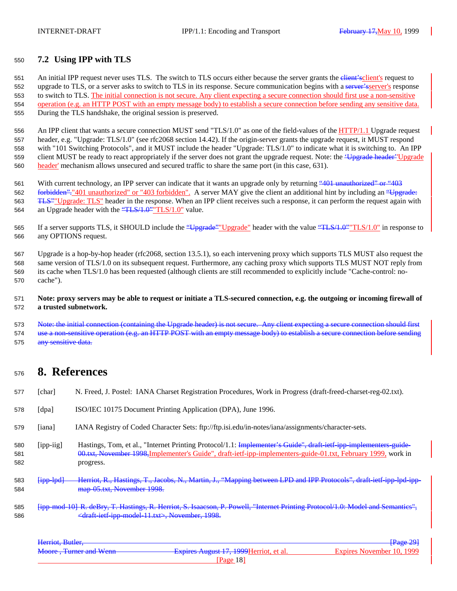## **7.2 Using IPP with TLS**

551 An initial IPP request never uses TLS. The switch to TLS occurs either because the server grants the elient'sclient's request to 552 upgrade to TLS, or a server asks to switch to TLS in its response. Secure communication begins with a server's response to switch to TLS. The initial connection is not secure. Any client expecting a secure connection should first use a non-sensitive operation (e.g. an HTTP POST with an empty message body) to establish a secure connection before sending any sensitive data. During the TLS handshake, the original session is preserved.

556 An IPP client that wants a secure connection MUST send "TLS/1.0" as one of the field-values of the HTTP/1.1 Upgrade request header, e.g. "Upgrade: TLS/1.0" (see rfc2068 section 14.42). If the origin-server grants the upgrade request, it MUST respond with "101 Switching Protocols", and it MUST include the header "Upgrade: TLS/1.0" to indicate what it is switching to. An IPP 559 client MUST be ready to react appropriately if the server does not grant the upgrade request. Note: the *'Upgrade header''*Upgrade header' mechanism allows unsecured and secured traffic to share the same port (in this case, 631).

 With current technology, an IPP server can indicate that it wants an upgrade only by returning "401 unauthorized" or "403 forbidden"."401 unauthorized" or "403 forbidden". A server MAY give the client an additional hint by including an "Upgrade: TLS""Upgrade: TLS" header in the response. When an IPP client receives such a response, it can perform the request again with 564 an Upgrade header with the "TLS/1.0" TLS/1.0" value.

565 If a server supports TLS, it SHOULD include the "Upgrade" Upgrade" header with the value "TLS/1.0" In response to any OPTIONS request.

 Upgrade is a hop-by-hop header (rfc2068, section 13.5.1), so each intervening proxy which supports TLS MUST also request the same version of TLS/1.0 on its subsequent request. Furthermore, any caching proxy which supports TLS MUST NOT reply from its cache when TLS/1.0 has been requested (although clients are still recommended to explicitly include "Cache-control: no-cache").

### **Note: proxy servers may be able to request or initiate a TLS-secured connection, e.g. the outgoing or incoming firewall of a trusted subnetwork.**

573 Note: the initial connection (containing the Upgrade header) is not secure. Any client expecting a secure connection 574 use a non-sensitive operation (e.g. an HTTP POST with an empty message body) to establish a secure 575 any sensitive data.

# **8. References**

|  | 577 [char] |  | N. Freed, J. Postel: IANA Charset Registration Procedures, Work in Progress (draft-freed-charset-reg-02.txt). |  |  |
|--|------------|--|---------------------------------------------------------------------------------------------------------------|--|--|
|--|------------|--|---------------------------------------------------------------------------------------------------------------|--|--|

- [dpa] ISO/IEC 10175 Document Printing Application (DPA), June 1996.
- [iana] IANA Registry of Coded Character Sets: ftp://ftp.isi.edu/in-notes/iana/assignments/character-sets.
- 580 [ipp-iig] Hastings, Tom, et al., "Internet Printing Protocol/1.1: Implementer's Guide", draft-ietf-ipp-implementers-guide- 00.txt, November 1998,Implementer's Guide", draft-ietf-ipp-implementers-guide-01.txt, February 1999, work in progress.
- [ipp-lpd] Herriot, R., Hastings, T., Jacobs, N., Martin, J., "Mapping between LPD and IPP Protocols", draft-ietf-ipp-lpd-ipp-map-05.txt, November 1998.
- [ipp-mod-10] R. deBry, T. Hastings, R. Herriot, S. Isaacson, P. Powell, "Internet Printing Protocol/1.0: Model and Semantics", <draft-ietf-ipp-model-11.txt>, November, 1998.

| Herriot, Butler,       |                                         | <del>[Page 29]</del>      |
|------------------------|-----------------------------------------|---------------------------|
|                        |                                         | Expires November 10, 1999 |
| Moore, Turner and Wenn | Expires August 17, 1999 Herriot, et al. |                           |
|                        | [Page $18$ ]                            |                           |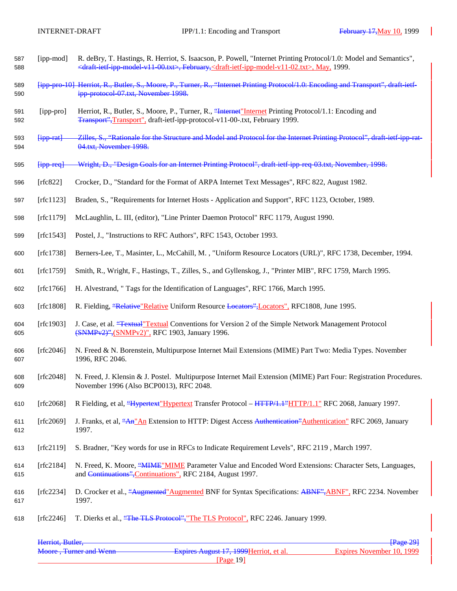- [ipp-mod] R. deBry, T. Hastings, R. Herriot, S. Isaacson, P. Powell, "Internet Printing Protocol/1.0: Model and Semantics", <draft-ietf-ipp-model-v11-00.txt>, February,<draft-ietf-ipp-model-v11-02.txt>, May, 1999.
- [ipp-pro-10] Herriot, R., Butler, S., Moore, P., Turner, R., "Internet Printing Protocol/1.0: Encoding and Transport", draft-ietf-ipp-protocol-07.txt, November 1998.
- [ipp-pro] Herriot, R., Butler, S., Moore, P., Turner, R., "Internet"Internet Printing Protocol/1.1: Encoding and Transport",Transport", draft-ietf-ipp-protocol-v11-00-.txt, February 1999.
- [ipp-rat] Zilles, S., "Rationale for the Structure and Model and Protocol for the Internet Printing Protocol", draft-ietf-ipp-rat-04.txt, November 1998.
- [ipp-req] Wright, D., "Design Goals for an Internet Printing Protocol", draft-ietf-ipp-req-03.txt, November, 1998.
- [rfc822] Crocker, D., "Standard for the Format of ARPA Internet Text Messages", RFC 822, August 1982.
- [rfc1123] Braden, S., "Requirements for Internet Hosts Application and Support", RFC 1123, October, 1989.
- [rfc1179] McLaughlin, L. III, (editor), "Line Printer Daemon Protocol" RFC 1179, August 1990.
- [rfc1543] Postel, J., "Instructions to RFC Authors", RFC 1543, October 1993.
- [rfc1738] Berners-Lee, T., Masinter, L., McCahill, M. , "Uniform Resource Locators (URL)", RFC 1738, December, 1994.
- [rfc1759] Smith, R., Wright, F., Hastings, T., Zilles, S., and Gyllenskog, J., "Printer MIB", RFC 1759, March 1995.
- [rfc1766] H. Alvestrand, " Tags for the Identification of Languages", RFC 1766, March 1995.
- [rfc1808] R. Fielding, "Relative"Relative Uniform Resource Locators",Locators", RFC1808, June 1995.
- [rfc1903] J. Case, et al. "Textual"Textual Conventions for Version 2 of the Simple Network Management Protocol (SNMPv2)",(SNMPv2)", RFC 1903, January 1996.
- [rfc2046] N. Freed & N. Borenstein, Multipurpose Internet Mail Extensions (MIME) Part Two: Media Types. November 1996, RFC 2046.
- [rfc2048] N. Freed, J. Klensin & J. Postel. Multipurpose Internet Mail Extension (MIME) Part Four: Registration Procedures. November 1996 (Also BCP0013), RFC 2048.
- [rfc2068] R Fielding, et al, "Hypertext"Hypertext Transfer Protocol HTTP/1.1"HTTP/1.1" RFC 2068, January 1997.
- 611 [rfc2069] J. Franks, et al, "An" An Extension to HTTP: Digest Access Authentication" Authentication" RFC 2069, January 1997.
- [rfc2119] S. Bradner, "Key words for use in RFCs to Indicate Requirement Levels", RFC 2119 , March 1997.
- 614 [rfc2184] N. Freed, K. Moore, "MIME" MIME Parameter Value and Encoded Word Extensions: Character Sets, Languages, and Continuations",Continuations", RFC 2184, August 1997.
- 616 [rfc2234] D. Crocker et al., "Augmented" Augmented BNF for Syntax Specifications: ABNF", ABNF", RFC 2234. November 1997.
- 618 [rfc2246] T. Dierks et al., "The TLS Protocol", "The TLS Protocol", RFC 2246. January 1999.

| Herriot, Butler,       |                                         | <b>Page 29</b>            |
|------------------------|-----------------------------------------|---------------------------|
| Moore, Turner and Wenn | Expires August 17, 1999 Herriot, et al. | Expires November 10, 1999 |
|                        | Page $19$ ]                             |                           |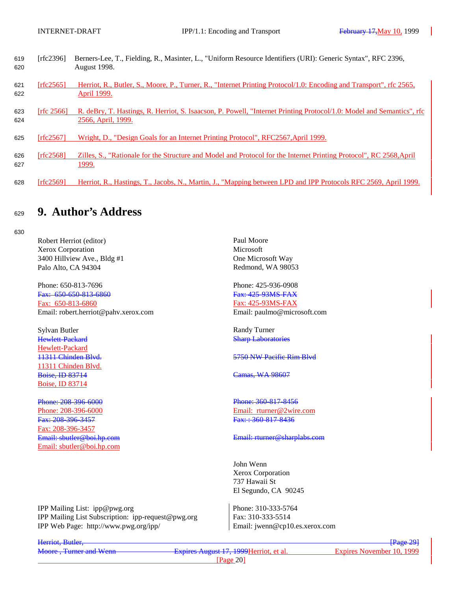| 619<br>620 | [rfc2396]               | Berners-Lee, T., Fielding, R., Masinter, L., "Uniform Resource Identifiers (URI): Generic Syntax", RFC 2396,<br><b>August 1998.</b>         |
|------------|-------------------------|---------------------------------------------------------------------------------------------------------------------------------------------|
| 621<br>622 | [rfc2565]               | Herriot, R., Butler, S., Moore, P., Turner, R., "Internet Printing Protocol/1.0: Encoding and Transport", rfc 2565,<br>April 1999.          |
| 623<br>624 | $\int$ frfc 2566 $\int$ | R. deBry, T. Hastings, R. Herriot, S. Isaacson, P. Powell, "Internet Printing Protocol/1.0: Model and Semantics", rfc<br>2566, April, 1999. |
| 625        | [rfc2567]               | Wright, D., "Design Goals for an Internet Printing Protocol", RFC2567, April 1999.                                                          |
| 626<br>627 | [rfc2568]               | Zilles, S., "Rationale for the Structure and Model and Protocol for the Internet Printing Protocol", RC 2568, April<br>1999.                |
| 628        | [rfc2569]               | Herriot, R., Hastings, T., Jacobs, N., Martin, J., "Mapping between LPD and IPP Protocols RFC 2569, April 1999.                             |

# <sup>629</sup> **9. Author's Address**

630

Robert Herriot (editor) Paul Moore Xerox Corporation Microsoft 3400 Hillview Ave., Bldg #1 One Microsoft Way Palo Alto, CA 94304 Redmond, WA 98053

Phone: 650-813-7696 Phone: 425-936-0908 Fax: 650-650-813-6860 Fax: 425-93MS-FAX Fax: 650-813-6860 Fax: 425-93MS-FAX Email: robert.herriot@pahv.xerox.com Email: paulmo@microsoft.com

Sylvan Butler New York 1989 (Sylvan Butler Randy Turner Randy Turner Randy Turner Randy Turner Randy Turner Randy Turner Randy Turner Randy Turner Randy Turner Randy Turner Randy Turner Randy Turner Randy Randy Randy Randy Hewlett-Packard 11311 Chinden Blvd. **Boise, ID 83714** Camas, WA 98607 Boise, ID 83714

Phone: 208-396-6000<br>
Phone: 208-396-6000<br>
Phone: 208-396-6000<br>
Phone: 208-396-6000<br>
Phone: 208-396-6000 Fax: 208-396-3457 Fax: : 360-817-8436 Fax: 208-396-3457 Email: sbutler@boi.hp.com

**Sharp Laboratories** 

11311 Chinden Blvd. 5750 NW Pacific Rim Blvd

Email: rturner@2wire.com

#### Email: sbutler@boi.hp.com examples are sensitively different community effects of the Email: rturner@sharplabs.com

John Wenn Xerox Corporation 737 Hawaii St El Segundo, CA 90245

Phone: 310-333-5764 Fax: 310-333-5514 Email: jwenn@cp10.es.xerox.com

|  | IPP Mailing List: ipp@pwg.org         |                                                    |
|--|---------------------------------------|----------------------------------------------------|
|  |                                       | IPP Mailing List Subscription: ipp-request@pwg.org |
|  | IPP Web Page: http://www.pwg.org/ipp/ |                                                    |

Herriot, Butler, [Page 29]

Moore , Turner and Wenn Expires August 17, 1999Herriot, et al. Expires November 10, 1999 [Page 20]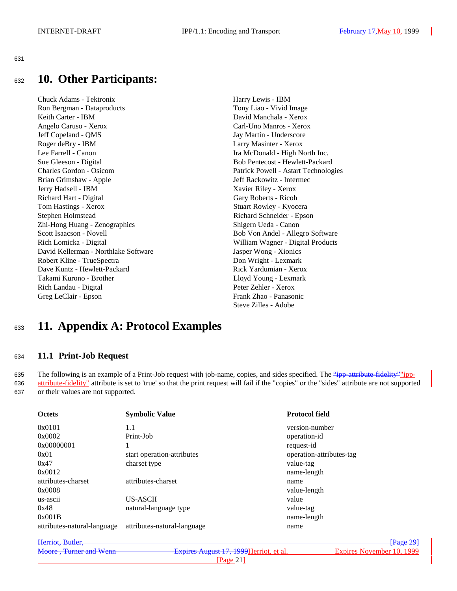631

# <sup>632</sup> **10. Other Participants:**

Chuck Adams - Tektronix Harry Lewis - IBM Ron Bergman - Dataproducts Tony Liao - Vivid Image Keith Carter - IBM David Manchala - Xerox Angelo Caruso - Xerox Carl-Uno Manros - Xerox Jeff Copeland - QMS Jay Martin - Underscore Roger deBry - IBM Larry Masinter - Xerox Lee Farrell - Canon Ira McDonald - High North Inc. Sue Gleeson - Digital Bob Pentecost - Hewlett-Packard Charles Gordon - Osicom Patrick Powell - Astart Technologies Brian Grimshaw - Apple Jeff Rackowitz - Intermec Jerry Hadsell - IBM Xavier Riley - Xerox Richard Hart - Digital Gary Roberts - Ricoh Tom Hastings - Xerox Stuart Rowley - Kyocera Stephen Holmstead Richard Schneider - Epson Zhi-Hong Huang - Zenographics Shigern Ueda - Canon Scott Isaacson - Novell Bob Von Andel - Allegro Software Rich Lomicka - Digital William Wagner - Digital Products David Kellerman - Northlake Software Jasper Wong - Xionics Robert Kline - TrueSpectra **Don Wright - Lexmark** Dave Kuntz - Hewlett-Packard **Rick Yardumian - Xerox** Takami Kurono - Brother Lloyd Young - Lexmark Rich Landau - Digital Peter Zehler - Xerox Greg LeClair - Epson Frank Zhao - Panasonic

Steve Zilles - Adobe

# <sup>633</sup> **11. Appendix A: Protocol Examples**

## <sup>634</sup> **11.1 Print-Job Request**

635 The following is an example of a Print-Job request with job-name, copies, and sides specified. The "ipp-attribute-fidelity" ipp-636 attribute-fidelity" attribute is set to 'true' so that the print request will fail if the "copies" or the "sides" attribute are not supported 637 or their values are not supported.

| <b>Octets</b>               | <b>Symbolic Value</b>       | <b>Protocol field</b>    |
|-----------------------------|-----------------------------|--------------------------|
| 0x0101                      | 1.1                         | version-number           |
| 0x0002                      | Print-Job                   | operation-id             |
| 0x00000001                  |                             | request-id               |
| 0x01                        | start operation-attributes  | operation-attributes-tag |
| 0x47                        | charset type                | value-tag                |
| 0x0012                      |                             | name-length              |
| attributes-charset          | attributes-charset          | name                     |
| 0x0008                      |                             | value-length             |
| us-ascii                    | US-ASCII                    | value                    |
| 0x48                        | natural-language type       | value-tag                |
| 0x001B                      |                             | name-length              |
| attributes-natural-language | attributes-natural-language | name                     |
|                             |                             |                          |

| Herriot, Butler,       |                                         | $\sqrt{\text{Page }291}$  |
|------------------------|-----------------------------------------|---------------------------|
| Moore, Turner and Wenn | Expires August 17, 1999 Herriot, et al. | Expires November 10, 1999 |
|                        | Page $21$ ]                             |                           |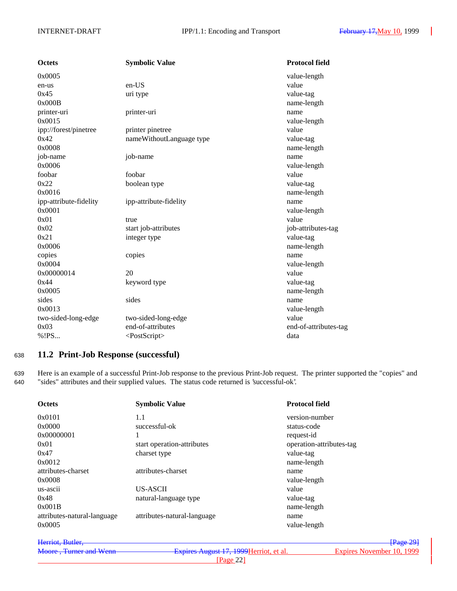| <b>Octets</b>          | <b>Symbolic Value</b>     | <b>Protocol field</b> |
|------------------------|---------------------------|-----------------------|
| 0x0005                 |                           | value-length          |
| en-us                  | en-US                     | value                 |
| 0x45                   | uri type                  | value-tag             |
| 0x000B                 |                           | name-length           |
| printer-uri            | printer-uri               | name                  |
| 0x0015                 |                           | value-length          |
| ipp://forest/pinetree  | printer pinetree          | value                 |
| 0x42                   | nameWithoutLanguage type  | value-tag             |
| 0x0008                 |                           | name-length           |
| job-name               | job-name                  | name                  |
| 0x0006                 |                           | value-length          |
| foobar                 | foobar                    | value                 |
| 0x22                   | boolean type              | value-tag             |
| 0x0016                 |                           | name-length           |
| ipp-attribute-fidelity | ipp-attribute-fidelity    | name                  |
| 0x0001                 |                           | value-length          |
| 0x01                   | true                      | value                 |
| 0x02                   | start job-attributes      | job-attributes-tag    |
| 0x21                   | integer type              | value-tag             |
| 0x0006                 |                           | name-length           |
| copies                 | copies                    | name                  |
| 0x0004                 |                           | value-length          |
| 0x00000014             | 20                        | value                 |
| 0x44                   | keyword type              | value-tag             |
| 0x0005                 |                           | name-length           |
| sides                  | sides                     | name                  |
| 0x0013                 |                           | value-length          |
| two-sided-long-edge    | two-sided-long-edge       | value                 |
| 0x03                   | end-of-attributes         | end-of-attributes-tag |
| %!PS                   | <postscript></postscript> | data                  |

## <sup>638</sup> **11.2 Print-Job Response (successful)**

639 Here is an example of a successful Print-Job response to the previous Print-Job request. The printer supported the "copies" and 640 "sides" attributes and their supplied values. The status code returned is 'successful-ok'.

| <b>Octets</b>               | <b>Symbolic Value</b>       | <b>Protocol field</b>    |
|-----------------------------|-----------------------------|--------------------------|
| 0x0101                      | 1.1                         | version-number           |
| 0x0000                      | successful-ok               | status-code              |
| 0x00000001                  |                             | request-id               |
| 0x01                        | start operation-attributes  | operation-attributes-tag |
| 0x47                        | charset type                | value-tag                |
| 0x0012                      |                             | name-length              |
| attributes-charset          | attributes-charset          | name                     |
| 0x0008                      |                             | value-length             |
| us-ascii                    | US-ASCII                    | value                    |
| 0x48                        | natural-language type       | value-tag                |
| 0x001B                      |                             | name-length              |
| attributes-natural-language | attributes-natural-language | name                     |
| 0x0005                      |                             | value-length             |

| Herriot, Butler,       |                                         | $\sqrt{\text{Page }29}$   |
|------------------------|-----------------------------------------|---------------------------|
| Moore, Turner and Wenn | Expires August 17, 1999 Herriot, et al. | Expires November 10, 1999 |
|                        | Page 22                                 |                           |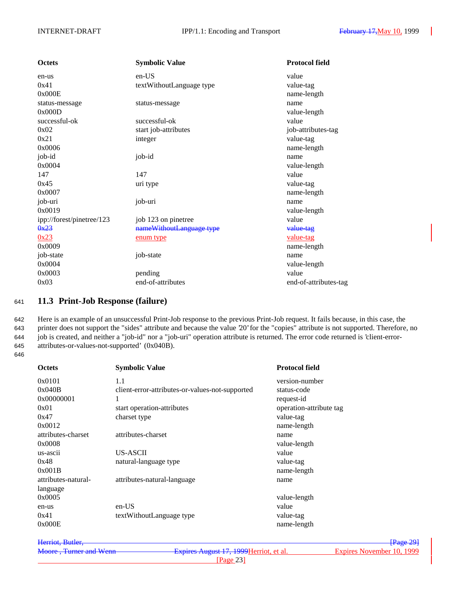| <b>Octets</b>             | <b>Symbolic Value</b>    | <b>Protocol field</b> |
|---------------------------|--------------------------|-----------------------|
| en-us                     | $en-US$                  | value                 |
| 0x41                      | textWithoutLanguage type | value-tag             |
| 0x000E                    |                          | name-length           |
| status-message            | status-message           | name                  |
| 0x000D                    |                          | value-length          |
| successful-ok             | successful-ok            | value                 |
| 0x02                      | start job-attributes     | job-attributes-tag    |
| 0x21                      | integer                  | value-tag             |
| 0x0006                    |                          | name-length           |
| job-id                    | job-id                   | name                  |
| 0x0004                    |                          | value-length          |
| 147                       | 147                      | value                 |
| 0x45                      | uri type                 | value-tag             |
| 0x0007                    |                          | name-length           |
| job-uri                   | job-uri                  | name                  |
| 0x0019                    |                          | value-length          |
| ipp://forest/pinetree/123 | job 123 on pinetree      | value                 |
| 0x23                      | nameWithoutLanguage type | value-tag             |
| 0x23                      | enum type                | value-tag             |
| 0x0009                    |                          | name-length           |
| job-state                 | job-state                | name                  |
| 0x0004                    |                          | value-length          |
| 0x0003                    | pending                  | value                 |
| 0x03                      | end-of-attributes        | end-of-attributes-tag |

## <sup>641</sup> **11.3 Print-Job Response (failure)**

 Here is an example of an unsuccessful Print-Job response to the previous Print-Job request. It fails because, in this case, the printer does not support the "sides" attribute and because the value '20' for the "copies" attribute is not supported. Therefore, no job is created, and neither a "job-id" nor a "job-uri" operation attribute is returned. The error code returned is 'client-error-attributes-or-values-not-supported' (0x040B).

646

| <b>Symbolic Value</b>                           | <b>Protocol field</b>   |
|-------------------------------------------------|-------------------------|
| 1.1                                             | version-number          |
| client-error-attributes-or-values-not-supported | status-code             |
| 1                                               | request-id              |
| start operation-attributes                      | operation-attribute tag |
| charset type                                    | value-tag               |
|                                                 | name-length             |
| attributes-charset                              | name                    |
|                                                 | value-length            |
| US-ASCII                                        | value                   |
| natural-language type                           | value-tag               |
|                                                 | name-length             |
| attributes-natural-language                     | name                    |
|                                                 |                         |
|                                                 | value-length            |
| $en-US$                                         | value                   |
| textWithoutLanguage type                        | value-tag               |
|                                                 | name-length             |
|                                                 |                         |

Herriot, Butler, **Frage 291 Frage 291 Frage 291** Moore, Turner and Wenn Expires August 17, 1999 Herriot, et al. Expires November 10, 1999 [Page 23]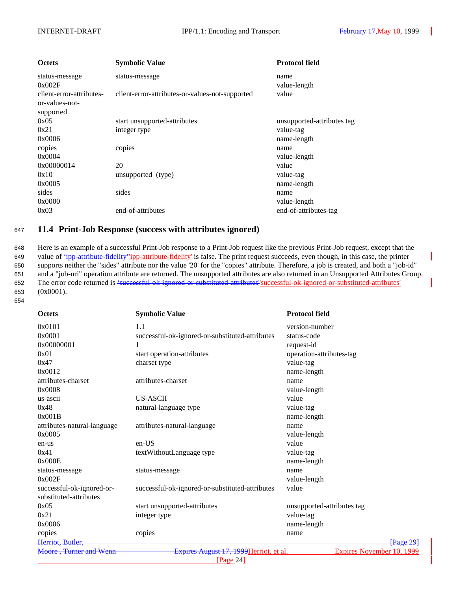| <b>Octets</b>                                           | <b>Symbolic Value</b>                           | <b>Protocol field</b>      |
|---------------------------------------------------------|-------------------------------------------------|----------------------------|
| status-message<br>0x002F                                | status-message                                  | name<br>value-length       |
| client-error-attributes-<br>or-values-not-<br>supported | client-error-attributes-or-values-not-supported | value                      |
| 0x05                                                    | start unsupported-attributes                    | unsupported-attributes tag |
| 0x21                                                    | integer type                                    | value-tag                  |
| 0x0006                                                  |                                                 | name-length                |
| copies                                                  | copies                                          | name                       |
| 0x0004                                                  |                                                 | value-length               |
| 0x00000014                                              | 20                                              | value                      |
| 0x10                                                    | unsupported (type)                              | value-tag                  |
| 0x0005                                                  |                                                 | name-length                |
| sides                                                   | sides                                           | name                       |
| 0x0000                                                  |                                                 | value-length               |
| 0x03                                                    | end-of-attributes                               | end-of-attributes-tag      |

## <sup>647</sup> **11.4 Print-Job Response (success with attributes ignored)**

648 Here is an example of a successful Print-Job response to a Print-Job request like the previous Print-Job request, except that the 649 value of  $\frac{4}{7}$  value of  $\frac{4}{7}$  value-fidelity<sup>-</sup> ipp-attribute-fidelity' is false. The print request succeeds, even though, in this case, the printer 650 supports neither the "sides" attribute nor the value '20' for the "copies" attribute. Therefore, a job is created, and both a "job-id" 651 and a "job-uri" operation attribute are returned. The unsupported attributes are also returned in an Unsupported Attributes Group. 652 The error code returned is 'successful-ok-ignored-or-substituted-attributes' successful-ok-ignored-or-substituted-attributes' 653 (0x0001). 654

| <b>Octets</b>               | <b>Symbolic Value</b>                           | <b>Protocol field</b>      |
|-----------------------------|-------------------------------------------------|----------------------------|
| 0x0101                      | 1.1                                             | version-number             |
| 0x0001                      | successful-ok-ignored-or-substituted-attributes | status-code                |
| 0x00000001                  | 1                                               | request-id                 |
| 0x01                        | start operation-attributes                      | operation-attributes-tag   |
| 0x47                        | charset type                                    | value-tag                  |
| 0x0012                      |                                                 | name-length                |
| attributes-charset          | attributes-charset                              | name                       |
| 0x0008                      |                                                 | value-length               |
| us-ascii                    | <b>US-ASCII</b>                                 | value                      |
| 0x48                        | natural-language type                           | value-tag                  |
| 0x001B                      |                                                 | name-length                |
| attributes-natural-language | attributes-natural-language                     | name                       |
| 0x0005                      |                                                 | value-length               |
| en-us                       | en-US                                           | value                      |
| 0x41                        | textWithoutLanguage type                        | value-tag                  |
| 0x000E                      |                                                 | name-length                |
| status-message              | status-message                                  | name                       |
| 0x002F                      |                                                 | value-length               |
| successful-ok-ignored-or-   | successful-ok-ignored-or-substituted-attributes | value                      |
| substituted-attributes      |                                                 |                            |
| 0x05                        | start unsupported-attributes                    | unsupported-attributes tag |
| 0x21                        | integer type                                    | value-tag                  |
| 0x0006                      |                                                 | name-length                |
| copies                      | copies                                          | name                       |
| Herriot, Butler,            |                                                 | $\sqrt{\text{Page }29}$    |
| Moore, Turner and Wenn      | Expires August 17, 1999 Herriot, et al.         | Expires November 10, 1999  |
|                             | [Page 24]                                       |                            |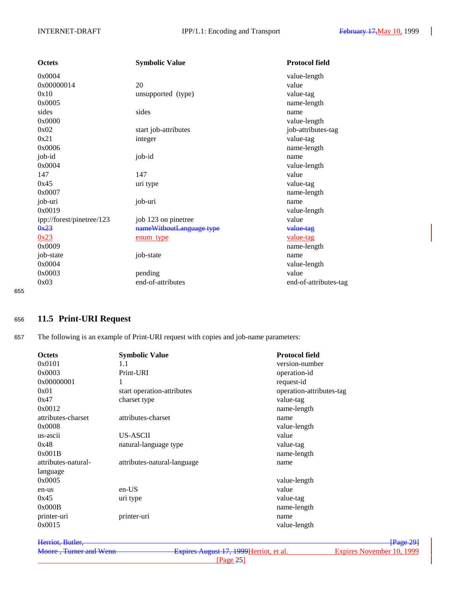| <b>Octets</b>             | <b>Symbolic Value</b>    | <b>Protocol field</b> |
|---------------------------|--------------------------|-----------------------|
| 0x0004                    |                          | value-length          |
| 0x00000014                | 20                       | value                 |
| 0x10                      | unsupported (type)       | value-tag             |
| 0x0005                    |                          | name-length           |
| sides                     | sides                    | name                  |
| 0x0000                    |                          | value-length          |
| 0x02                      | start job-attributes     | job-attributes-tag    |
| 0x21                      | integer                  | value-tag             |
| 0x0006                    |                          | name-length           |
| job-id                    | job-id                   | name                  |
| 0x0004                    |                          | value-length          |
| 147                       | 147                      | value                 |
| 0x45                      | uri type                 | value-tag             |
| 0x0007                    |                          | name-length           |
| job-uri                   | job-uri                  | name                  |
| 0x0019                    |                          | value-length          |
| ipp://forest/pinetree/123 | job 123 on pinetree      | value                 |
| 0x23                      | nameWithoutLanguage type | value-tag             |
| 0x23                      | enum type                | value-tag             |
| 0x0009                    |                          | name-length           |
| job-state                 | job-state                | name                  |
| 0x0004                    |                          | value-length          |
| 0x0003                    | pending                  | value                 |
| 0x03                      | end-of-attributes        | end-of-attributes-tag |

655

# <sup>656</sup> **11.5 Print-URI Request**

657 The following is an example of Print-URI request with copies and job-name parameters:

| <b>Octets</b>       | <b>Symbolic Value</b>       | <b>Protocol field</b>    |           |
|---------------------|-----------------------------|--------------------------|-----------|
| 0x0101              | 1.1                         | version-number           |           |
| 0x0003              | Print-URI                   | operation-id             |           |
| 0x00000001          | 1                           | request-id               |           |
| 0x01                | start operation-attributes  | operation-attributes-tag |           |
| 0x47                | charset type                | value-tag                |           |
| 0x0012              |                             | name-length              |           |
| attributes-charset  | attributes-charset          | name                     |           |
| 0x0008              |                             | value-length             |           |
| us-ascii            | US-ASCII                    | value                    |           |
| 0x48                | natural-language type       | value-tag                |           |
| 0x001B              |                             | name-length              |           |
| attributes-natural- | attributes-natural-language | name                     |           |
| language            |                             |                          |           |
| 0x0005              |                             | value-length             |           |
| en-us               | $en-US$                     | value                    |           |
| 0x45                | uri type                    | value-tag                |           |
| 0x000B              |                             | name-length              |           |
| printer-uri         | printer-uri                 | name                     |           |
| 0x0015              |                             | value-length             |           |
| Herriot, Butler,    |                             |                          | [Page 29] |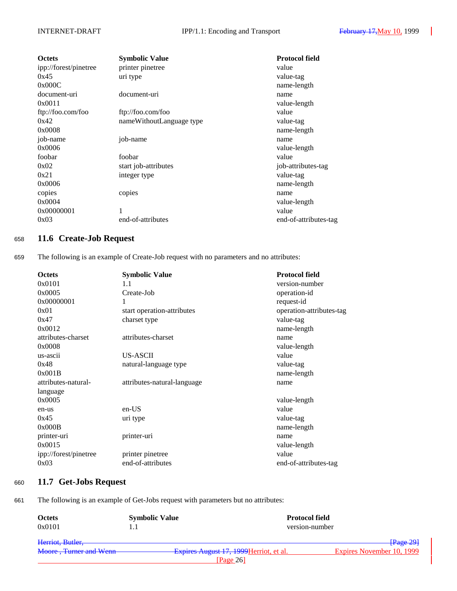| <b>Octets</b>         | <b>Symbolic Value</b>    | <b>Protocol field</b> |
|-----------------------|--------------------------|-----------------------|
| ipp://forest/pinetree | printer pinetree         | value                 |
| 0x45                  | uri type                 | value-tag             |
| 0x000C                |                          | name-length           |
| document-uri          | document-uri             | name                  |
| 0x0011                |                          | value-length          |
| ftp://foo.com/foo     | ftp://foo.com/foo        | value                 |
| 0x42                  | nameWithoutLanguage type | value-tag             |
| 0x0008                |                          | name-length           |
| job-name              | job-name                 | name                  |
| 0x0006                |                          | value-length          |
| foobar                | foobar                   | value                 |
| 0x02                  | start job-attributes     | job-attributes-tag    |
| 0x21                  | integer type             | value-tag             |
| 0x0006                |                          | name-length           |
| copies                | copies                   | name                  |
| 0x0004                |                          | value-length          |
| 0x00000001            | 1                        | value                 |
| 0x03                  | end-of-attributes        | end-of-attributes-tag |

## <sup>658</sup> **11.6 Create-Job Request**

659 The following is an example of Create-Job request with no parameters and no attributes:

| <b>Octets</b>         | <b>Symbolic Value</b>       | <b>Protocol field</b>    |
|-----------------------|-----------------------------|--------------------------|
| 0x0101                | 1.1                         | version-number           |
| 0x0005                | Create-Job                  | operation-id             |
| 0x00000001            | 1                           | request-id               |
| 0x01                  | start operation-attributes  | operation-attributes-tag |
| 0x47                  | charset type                | value-tag                |
| 0x0012                |                             | name-length              |
| attributes-charset    | attributes-charset          | name                     |
| 0x0008                |                             | value-length             |
| us-ascii              | US-ASCII                    | value                    |
| 0x48                  | natural-language type       | value-tag                |
| 0x001B                |                             | name-length              |
| attributes-natural-   | attributes-natural-language | name                     |
| language              |                             |                          |
| 0x0005                |                             | value-length             |
| en-us                 | en-US                       | value                    |
| 0x45                  | uri type                    | value-tag                |
| 0x000B                |                             | name-length              |
| printer-uri           | printer-uri                 | name                     |
| 0x0015                |                             | value-length             |
| ipp://forest/pinetree | printer pinetree            | value                    |
| 0x03                  | end-of-attributes           | end-of-attributes-tag    |

## <sup>660</sup> **11.7 Get-Jobs Request**

661 The following is an example of Get-Jobs request with parameters but no attributes:

| <b>Octets</b>          | <b>Symbolic Value</b> | <b>Protocol field</b>                   |                           |
|------------------------|-----------------------|-----------------------------------------|---------------------------|
| 0x0101                 |                       | version-number                          |                           |
| Herriot, Butler,       |                       |                                         | [Page 29]                 |
| Moore, Turner and Wenn |                       | Expires August 17, 1999 Herriot, et al. | Expires November 10, 1999 |
|                        |                       | [Page $26$ ]                            |                           |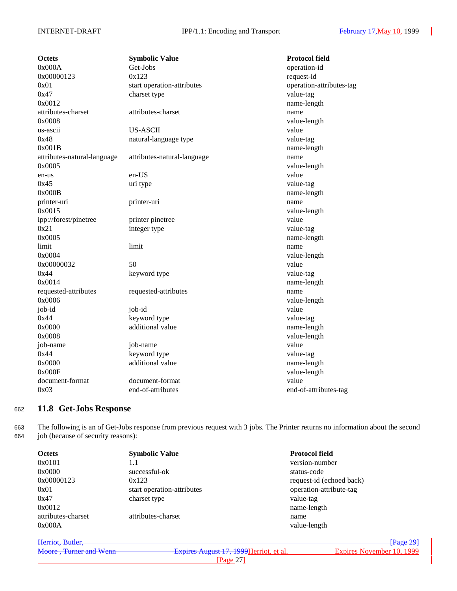| <b>Octets</b>               | <b>Symbolic Value</b>       | <b>Protocol field</b>    |
|-----------------------------|-----------------------------|--------------------------|
| 0x000A                      | Get-Jobs                    | operation-id             |
| 0x00000123                  | 0x123                       | request-id               |
| 0x01                        | start operation-attributes  | operation-attributes-tag |
| 0x47                        | charset type                | value-tag                |
| 0x0012                      |                             | name-length              |
| attributes-charset          | attributes-charset          | name                     |
| 0x0008                      |                             | value-length             |
| us-ascii                    | <b>US-ASCII</b>             | value                    |
| 0x48                        | natural-language type       | value-tag                |
| 0x001B                      |                             | name-length              |
| attributes-natural-language | attributes-natural-language | name                     |
| 0x0005                      |                             | value-length             |
| en-us                       | en-US                       | value                    |
| 0x45                        | uri type                    | value-tag                |
| 0x000B                      |                             | name-length              |
| printer-uri                 | printer-uri                 | name                     |
| 0x0015                      |                             | value-length             |
| ipp://forest/pinetree       | printer pinetree            | value                    |
| 0x21                        | integer type                | value-tag                |
| 0x0005                      |                             | name-length              |
| limit                       | limit                       | name                     |
| 0x0004                      |                             | value-length             |
| 0x00000032                  | 50                          | value                    |
| 0x44                        | keyword type                | value-tag                |
| 0x0014                      |                             | name-length              |
| requested-attributes        | requested-attributes        | name                     |
| 0x0006                      |                             | value-length             |
| job-id                      | job-id                      | value                    |
| 0x44                        | keyword type                | value-tag                |
| 0x0000                      | additional value            | name-length              |
| 0x0008                      |                             | value-length             |
| job-name                    | job-name                    | value                    |
| 0x44                        | keyword type                | value-tag                |
| 0x0000                      | additional value            | name-length              |
| 0x000F                      |                             | value-length             |
| document-format             | document-format             | value                    |
| 0x03                        | end-of-attributes           | end-of-attributes-tag    |
|                             |                             |                          |

# <sup>662</sup> **11.8 Get-Jobs Response**

663 The following is an of Get-Jobs response from previous request with 3 jobs. The Printer returns no information about the second 664 job (because of security reasons):

| <b>Octets</b>      | <b>Symbolic Value</b>      | <b>Protocol field</b>    |
|--------------------|----------------------------|--------------------------|
| 0x0101             | 1.1                        | version-number           |
| 0x0000             | successful-ok              | status-code              |
| 0x00000123         | 0x123                      | request-id (echoed back) |
| 0x01               | start operation-attributes | operation-attribute-tag  |
| 0x47               | charset type               | value-tag                |
| 0x0012             |                            | name-length              |
| attributes-charset | attributes-charset         | name                     |
| 0x000A             |                            | value-length             |
|                    |                            |                          |

| Herriot, Butler,       |                                         | $\sqrt{\text{Page }29}$   |
|------------------------|-----------------------------------------|---------------------------|
| Moore, Turner and Wenn | Expires August 17, 1999 Herriot, et al. | Expires November 10, 1999 |
|                        | Page $27$                               |                           |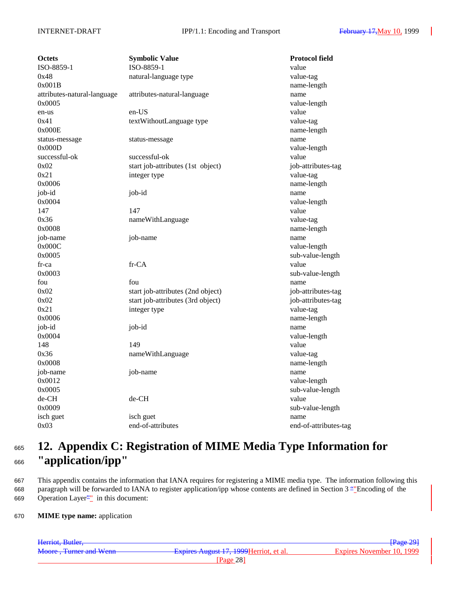| Octets                      | <b>Symbolic Value</b>             | <b>Protocol field</b> |
|-----------------------------|-----------------------------------|-----------------------|
| ISO-8859-1                  | ISO-8859-1                        | value                 |
| 0x48                        | natural-language type             | value-tag             |
| 0x001B                      |                                   | name-length           |
| attributes-natural-language | attributes-natural-language       | name                  |
| 0x0005                      |                                   | value-length          |
| en-us                       | en-US                             | value                 |
| 0x41                        | textWithoutLanguage type          | value-tag             |
| 0x000E                      |                                   | name-length           |
| status-message              | status-message                    | name                  |
| 0x000D                      |                                   | value-length          |
| successful-ok               | successful-ok                     | value                 |
| 0x02                        | start job-attributes (1st object) | job-attributes-tag    |
| 0x21                        | integer type                      | value-tag             |
| 0x0006                      |                                   | name-length           |
| job-id                      | job-id                            | name                  |
| 0x0004                      |                                   | value-length          |
| 147                         | 147                               | value                 |
| 0x36                        | nameWithLanguage                  | value-tag             |
| 0x0008                      |                                   | name-length           |
| job-name                    | job-name                          | name                  |
| 0x000C                      |                                   | value-length          |
| 0x0005                      |                                   | sub-value-length      |
| $fr-ca$                     | fr-CA                             | value                 |
| 0x0003                      |                                   | sub-value-length      |
| fou                         | fou                               | name                  |
| 0x02                        | start job-attributes (2nd object) | job-attributes-tag    |
| 0x02                        | start job-attributes (3rd object) | job-attributes-tag    |
| 0x21                        | integer type                      | value-tag             |
| 0x0006                      |                                   | name-length           |
| job-id                      | job-id                            | name                  |
| 0x0004                      |                                   | value-length          |
| 148                         | 149                               | value                 |
| 0x36                        | nameWithLanguage                  | value-tag             |
| 0x0008                      |                                   | name-length           |
| job-name                    | job-name                          | name                  |
| 0x0012                      |                                   | value-length          |
| 0x0005                      |                                   | sub-value-length      |
| de-CH                       | de-CH                             | value                 |
| 0x0009                      |                                   | sub-value-length      |
| isch guet                   | isch guet                         | name                  |
| 0x03                        | end-of-attributes                 | end-of-attributes-tag |
|                             |                                   |                       |

# <sup>665</sup> **12. Appendix C: Registration of MIME Media Type Information for** <sup>666</sup> **"application/ipp"**

667 This appendix contains the information that IANA requires for registering a MIME media type. The information following this 668 paragraph will be forwarded to IANA to register application/ipp whose contents are defined in Section 3 ""Encoding of the 669 Operation Layer<sup>21</sup> in this document:

### 670 **MIME type name:** application

| Herriot, Butler,       |                                         | Page 29                   |
|------------------------|-----------------------------------------|---------------------------|
| Moore, Turner and Wenn | Expires August 17, 1999 Herriot, et al. | Expires November 10, 1999 |
|                        | Page 28                                 |                           |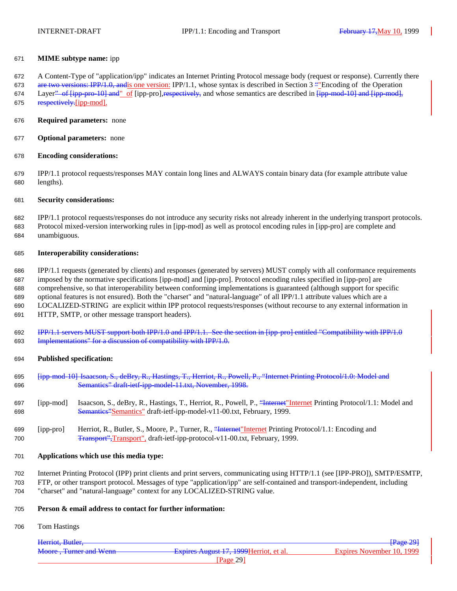#### **MIME subtype name:** ipp

A Content-Type of "application/ipp" indicates an Internet Printing Protocol message body (request or response). Currently there

673 are two versions: IPP/1.0, and is one version: IPP/1.1, whose syntax is described in Section 3 ""Encoding of the Operation 674 Layer<sup>2</sup> of  $\overline{[ipp-pro-10]}$  and  $\overline{[ipp-prol]}$ ,  $\overline{[ipp-prol]}$ , and whose semantics are described in  $\overline{[ipp-mod-10]}$  and  $\overline{[ipp-mod]}$ , 675 respectively. [ipp-mod].

- **Required parameters:** none
- **Optional parameters:** none
- **Encoding considerations:**

 IPP/1.1 protocol requests/responses MAY contain long lines and ALWAYS contain binary data (for example attribute value lengths).

#### **Security considerations:**

 IPP/1.1 protocol requests/responses do not introduce any security risks not already inherent in the underlying transport protocols. Protocol mixed-version interworking rules in [ipp-mod] as well as protocol encoding rules in [ipp-pro] are complete and unambiguous.

#### **Interoperability considerations:**

 IPP/1.1 requests (generated by clients) and responses (generated by servers) MUST comply with all conformance requirements imposed by the normative specifications [ipp-mod] and [ipp-pro]. Protocol encoding rules specified in [ipp-pro] are comprehensive, so that interoperability between conforming implementations is guaranteed (although support for specific optional features is not ensured). Both the "charset" and "natural-language" of all IPP/1.1 attribute values which are a LOCALIZED-STRING are explicit within IPP protocol requests/responses (without recourse to any external information in HTTP, SMTP, or other message transport headers).

 IPP/1.1 servers MUST support both IPP/1.0 and IPP/1.1. See the section in [ipp-pro] entitled "Compatibility with IPP/1.0 Implementations" for a discussion of compatibility with IPP/1.0.

#### **Published specification:**

- [ipp-mod-10] Isaacson, S., deBry, R., Hastings, T., Herriot, R., Powell, P., "Internet Printing Protocol/1.0: Model and Semantics" draft-ietf-ipp-model-11.txt, November, 1998.
- [ipp-mod] Isaacson, S., deBry, R., Hastings, T., Herriot, R., Powell, P., "Internet"Internet Printing Protocol/1.1: Model and Semantics"Semantics" draft-ietf-ipp-model-v11-00.txt, February, 1999.
- [ipp-pro] Herriot, R., Butler, S., Moore, P., Turner, R., "Internet"Internet Printing Protocol/1.1: Encoding and Transport",Transport", draft-ietf-ipp-protocol-v11-00.txt, February, 1999.

#### **Applications which use this media type:**

- Internet Printing Protocol (IPP) print clients and print servers, communicating using HTTP/1.1 (see [IPP-PRO]), SMTP/ESMTP,
- FTP, or other transport protocol. Messages of type "application/ipp" are self-contained and transport-independent, including "charset" and "natural-language" context for any LOCALIZED-STRING value.

#### **Person & email address to contact for further information:**

Tom Hastings

| Herriot, Butler,       |                                         | <b>Page 291</b>           |
|------------------------|-----------------------------------------|---------------------------|
| Moore, Turner and Wenn | Expires August 17, 1999 Herriot, et al. | Expires November 10, 1999 |
|                        | Page 29                                 |                           |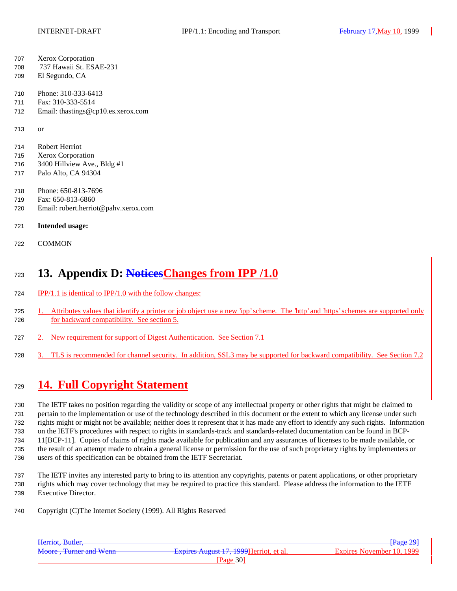- Xerox Corporation
- 737 Hawaii St. ESAE-231
- El Segundo, CA
- Phone: 310-333-6413
- Fax: 310-333-5514
- Email: thastings@cp10.es.xerox.com

or

- Robert Herriot
- Xerox Corporation
- 3400 Hillview Ave., Bldg #1
- Palo Alto, CA 94304
- Phone: 650-813-7696
- Fax: 650-813-6860
- Email: robert.herriot@pahv.xerox.com

### **Intended usage:**

COMMON

# **13. Appendix D: NoticesChanges from IPP /1.0**

- IPP/1.1 is identical to IPP/1.0 with the follow changes:
- 1. Attributes values that identify a printer or job object use a new 'ipp' scheme. The 'http' and 'https' schemes are supported only for backward compatibility. See section 5.
- 2. New requirement for support of Digest Authentication. See Section 7.1
- 3. TLS is recommended for channel security. In addition, SSL3 may be supported for backward compatibility. See Section 7.2

# **14. Full Copyright Statement**

 The IETF takes no position regarding the validity or scope of any intellectual property or other rights that might be claimed to pertain to the implementation or use of the technology described in this document or the extent to which any license under such rights might or might not be available; neither does it represent that it has made any effort to identify any such rights. Information on the IETF's procedures with respect to rights in standards-track and standards-related documentation can be found in BCP- 11[BCP-11]. Copies of claims of rights made available for publication and any assurances of licenses to be made available, or the result of an attempt made to obtain a general license or permission for the use of such proprietary rights by implementers or users of this specification can be obtained from the IETF Secretariat.

 The IETF invites any interested party to bring to its attention any copyrights, patents or patent applications, or other proprietary rights which may cover technology that may be required to practice this standard. Please address the information to the IETF Executive Director.

Copyright (C)The Internet Society (1999). All Rights Reserved

| Herriot, Butler,        |                                           | $\frac{129}{291}$         |
|-------------------------|-------------------------------------------|---------------------------|
| Moore, Turner and Wenn- | - Expires August 17, 1999 Herriot, et al. | Expires November 10, 1999 |
|                         | Page 30                                   |                           |